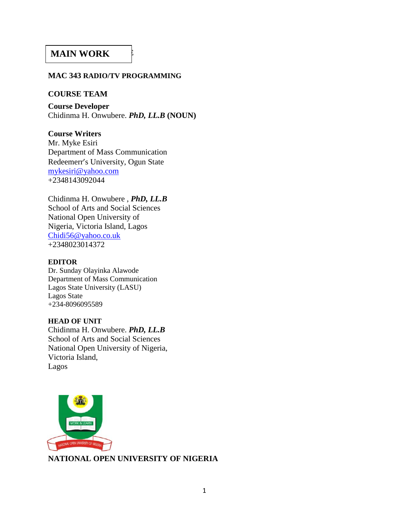## **COURSE MAIN WORK**

#### **MAC 343 RADIO/TV PROGRAMMING**

#### **COURSE TEAM**

**Course Developer** Chidinma H. Onwubere. *PhD, LL.B* **(NOUN)**

## **Course Writers**

Mr. Myke Esiri Department of Mass Communication Redeemerr's University, Ogun State [mykesiri@yahoo.com](mailto:mykesiri@yahoo.com) +2348143092044

Chidinma H. Onwubere , *PhD, LL.B* School of Arts and Social Sciences National Open University of Nigeria, Victoria Island, Lagos [Chidi56@yahoo.co.uk](mailto:Chidi56@yahoo.co.uk) +2348023014372

#### **EDITOR**

Dr. Sunday Olayinka Alawode Department of Mass Communication Lagos State University (LASU) Lagos State +234-8096095589

## **HEAD OF UNIT**

Chidinma H. Onwubere. *PhD, LL.B*  School of Arts and Social Sciences National Open University of Nigeria, Victoria Island, Lagos



## **NATIONAL OPEN UNIVERSITY OF NIGERIA**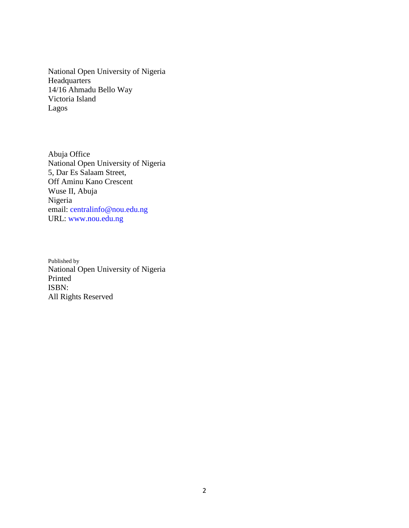National Open University of Nigeria Headquarters 14/16 Ahmadu Bello Way Victoria Island Lagos

Abuja Office National Open University of Nigeria 5, Dar Es Salaam Street, Off Aminu Kano Crescent Wuse II, Abuja Nigeria email: centralinfo@nou.edu.ng URL: www.nou.edu.ng

Published by National Open University of Nigeria Printed ISBN: All Rights Reserved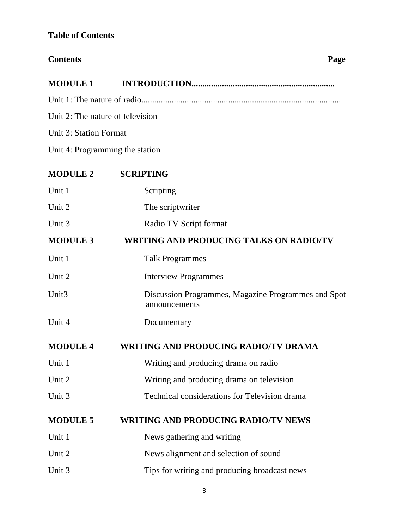# **Table of Contents**

| Page                                                                 |
|----------------------------------------------------------------------|
| <b>MODULE 1</b>                                                      |
|                                                                      |
| Unit 2: The nature of television                                     |
| <b>Unit 3: Station Format</b>                                        |
| Unit 4: Programming the station                                      |
| <b>SCRIPTING</b>                                                     |
| Scripting                                                            |
| The scriptwriter                                                     |
| Radio TV Script format                                               |
| <b>WRITING AND PRODUCING TALKS ON RADIO/TV</b>                       |
| <b>Talk Programmes</b>                                               |
| <b>Interview Programmes</b>                                          |
| Discussion Programmes, Magazine Programmes and Spot<br>announcements |
| Documentary                                                          |
| <b>WRITING AND PRODUCING RADIO/TV DRAMA</b>                          |
| Writing and producing drama on radio                                 |
| Writing and producing drama on television                            |
| Technical considerations for Television drama                        |
| <b>WRITING AND PRODUCING RADIO/TV NEWS</b>                           |
| News gathering and writing                                           |
| News alignment and selection of sound                                |
| Tips for writing and producing broadcast news                        |
|                                                                      |

3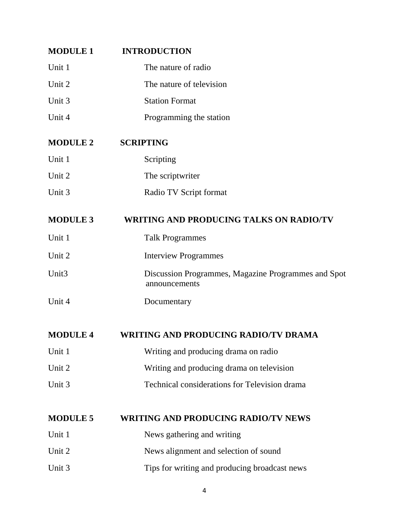| <b>MODULE 1</b>   | <b>INTRODUCTION</b>                                                  |
|-------------------|----------------------------------------------------------------------|
| Unit 1            | The nature of radio                                                  |
| Unit 2            | The nature of television                                             |
| Unit 3            | <b>Station Format</b>                                                |
| Unit 4            | Programming the station                                              |
| <b>MODULE 2</b>   | <b>SCRIPTING</b>                                                     |
| Unit 1            | Scripting                                                            |
|                   |                                                                      |
| Unit 2            | The scriptwriter                                                     |
| Unit 3            | Radio TV Script format                                               |
| <b>MODULE 3</b>   | <b>WRITING AND PRODUCING TALKS ON RADIO/TV</b>                       |
| Unit 1            | <b>Talk Programmes</b>                                               |
| Unit 2            | <b>Interview Programmes</b>                                          |
| Unit <sub>3</sub> | Discussion Programmes, Magazine Programmes and Spot<br>announcements |
| Unit 4            | Documentary                                                          |
| <b>MODULE 4</b>   | <b>WRITING AND PRODUCING RADIO/TV DRAMA</b>                          |
| Unit 1            | Writing and producing drama on radio                                 |
| Unit 2            | Writing and producing drama on television                            |
| Unit 3            | Technical considerations for Television drama                        |
|                   |                                                                      |
| <b>MODULE 5</b>   | <b>WRITING AND PRODUCING RADIO/TV NEWS</b>                           |
| Unit 1            | News gathering and writing                                           |
| Unit 2            | News alignment and selection of sound                                |
| Unit 3            | Tips for writing and producing broadcast news                        |
|                   |                                                                      |

4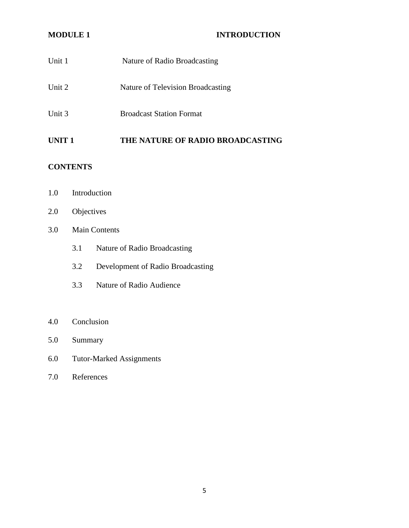# **MODULE 1 INTRODUCTION** Unit 1 Nature of Radio Broadcasting Unit 2 Nature of Television Broadcasting Unit 3 Broadcast Station Format **UNIT 1 THE NATURE OF RADIO BROADCASTING**

## **CONTENTS**

- 1.0 Introduction
- 2.0 Objectives
- 3.0 Main Contents
	- 3.1 Nature of Radio Broadcasting
	- 3.2 Development of Radio Broadcasting
	- 3.3 Nature of Radio Audience
- 4.0 Conclusion
- 5.0 Summary
- 6.0 Tutor-Marked Assignments
- 7.0 References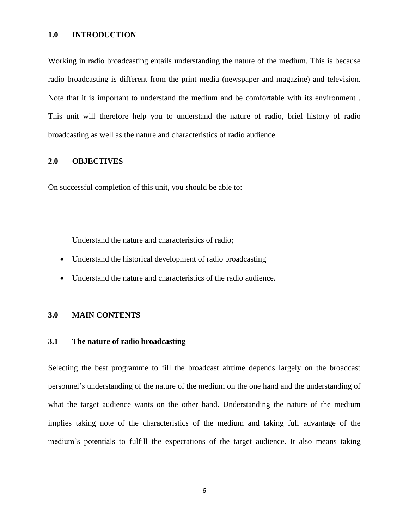#### **1.0 INTRODUCTION**

Working in radio broadcasting entails understanding the nature of the medium. This is because radio broadcasting is different from the print media (newspaper and magazine) and television. Note that it is important to understand the medium and be comfortable with its environment . This unit will therefore help you to understand the nature of radio, brief history of radio broadcasting as well as the nature and characteristics of radio audience.

#### **2.0 OBJECTIVES**

On successful completion of this unit, you should be able to:

Understand the nature and characteristics of radio;

- Understand the historical development of radio broadcasting
- Understand the nature and characteristics of the radio audience.

#### **3.0 MAIN CONTENTS**

## **3.1 The nature of radio broadcasting**

Selecting the best programme to fill the broadcast airtime depends largely on the broadcast personnel's understanding of the nature of the medium on the one hand and the understanding of what the target audience wants on the other hand. Understanding the nature of the medium implies taking note of the characteristics of the medium and taking full advantage of the medium's potentials to fulfill the expectations of the target audience. It also means taking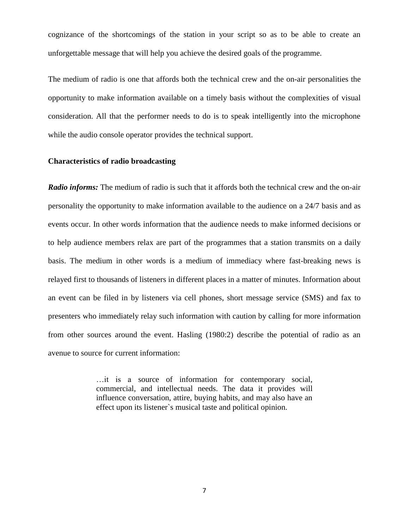cognizance of the shortcomings of the station in your script so as to be able to create an unforgettable message that will help you achieve the desired goals of the programme.

The medium of radio is one that affords both the technical crew and the on-air personalities the opportunity to make information available on a timely basis without the complexities of visual consideration. All that the performer needs to do is to speak intelligently into the microphone while the audio console operator provides the technical support.

#### **Characteristics of radio broadcasting**

*Radio informs:* The medium of radio is such that it affords both the technical crew and the on-air personality the opportunity to make information available to the audience on a 24/7 basis and as events occur. In other words information that the audience needs to make informed decisions or to help audience members relax are part of the programmes that a station transmits on a daily basis. The medium in other words is a medium of immediacy where fast-breaking news is relayed first to thousands of listeners in different places in a matter of minutes. Information about an event can be filed in by listeners via cell phones, short message service (SMS) and fax to presenters who immediately relay such information with caution by calling for more information from other sources around the event. Hasling (1980:2) describe the potential of radio as an avenue to source for current information:

> …it is a source of information for contemporary social, commercial, and intellectual needs. The data it provides will influence conversation, attire, buying habits, and may also have an effect upon its listener`s musical taste and political opinion.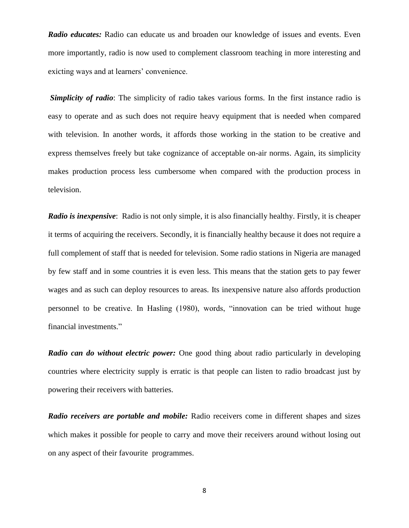*Radio educates:* Radio can educate us and broaden our knowledge of issues and events. Even more importantly, radio is now used to complement classroom teaching in more interesting and exicting ways and at learners' convenience.

*Simplicity of radio*: The simplicity of radio takes various forms. In the first instance radio is easy to operate and as such does not require heavy equipment that is needed when compared with television. In another words, it affords those working in the station to be creative and express themselves freely but take cognizance of acceptable on-air norms. Again, its simplicity makes production process less cumbersome when compared with the production process in television.

*Radio is inexpensive*: Radio is not only simple, it is also financially healthy. Firstly, it is cheaper it terms of acquiring the receivers. Secondly, it is financially healthy because it does not require a full complement of staff that is needed for television. Some radio stations in Nigeria are managed by few staff and in some countries it is even less. This means that the station gets to pay fewer wages and as such can deploy resources to areas. Its inexpensive nature also affords production personnel to be creative. In Hasling (1980), words, "innovation can be tried without huge financial investments."

*Radio can do without electric power:* One good thing about radio particularly in developing countries where electricity supply is erratic is that people can listen to radio broadcast just by powering their receivers with batteries.

*Radio receivers are portable and mobile:* Radio receivers come in different shapes and sizes which makes it possible for people to carry and move their receivers around without losing out on any aspect of their favourite programmes.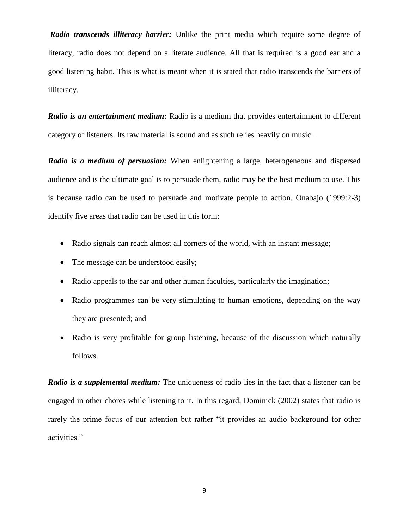*Radio transcends illiteracy barrier:* Unlike the print media which require some degree of literacy, radio does not depend on a literate audience. All that is required is a good ear and a good listening habit. This is what is meant when it is stated that radio transcends the barriers of illiteracy.

*Radio is an entertainment medium:* Radio is a medium that provides entertainment to different category of listeners. Its raw material is sound and as such relies heavily on music. .

*Radio is a medium of persuasion:* When enlightening a large, heterogeneous and dispersed audience and is the ultimate goal is to persuade them, radio may be the best medium to use. This is because radio can be used to persuade and motivate people to action. Onabajo (1999:2-3) identify five areas that radio can be used in this form:

- Radio signals can reach almost all corners of the world, with an instant message;
- The message can be understood easily;
- Radio appeals to the ear and other human faculties, particularly the imagination;
- Radio programmes can be very stimulating to human emotions, depending on the way they are presented; and
- Radio is very profitable for group listening, because of the discussion which naturally follows.

*Radio is a supplemental medium:* The uniqueness of radio lies in the fact that a listener can be engaged in other chores while listening to it. In this regard, Dominick (2002) states that radio is rarely the prime focus of our attention but rather "it provides an audio background for other activities."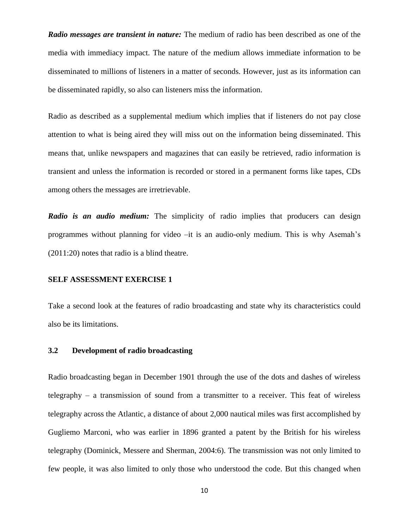*Radio messages are transient in nature:* The medium of radio has been described as one of the media with immediacy impact. The nature of the medium allows immediate information to be disseminated to millions of listeners in a matter of seconds. However, just as its information can be disseminated rapidly, so also can listeners miss the information.

Radio as described as a supplemental medium which implies that if listeners do not pay close attention to what is being aired they will miss out on the information being disseminated. This means that, unlike newspapers and magazines that can easily be retrieved, radio information is transient and unless the information is recorded or stored in a permanent forms like tapes, CDs among others the messages are irretrievable.

*Radio is an audio medium:* The simplicity of radio implies that producers can design programmes without planning for video –it is an audio-only medium. This is why Asemah's (2011:20) notes that radio is a blind theatre.

#### **SELF ASSESSMENT EXERCISE 1**

Take a second look at the features of radio broadcasting and state why its characteristics could also be its limitations.

#### **3.2 Development of radio broadcasting**

Radio broadcasting began in December 1901 through the use of the dots and dashes of wireless telegraphy – a transmission of sound from a transmitter to a receiver. This feat of wireless telegraphy across the Atlantic, a distance of about 2,000 nautical miles was first accomplished by Gugliemo Marconi, who was earlier in 1896 granted a patent by the British for his wireless telegraphy (Dominick, Messere and Sherman, 2004:6). The transmission was not only limited to few people, it was also limited to only those who understood the code. But this changed when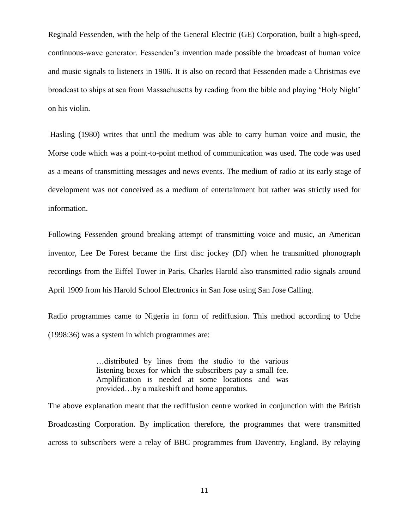Reginald Fessenden, with the help of the General Electric (GE) Corporation, built a high-speed, continuous-wave generator. Fessenden's invention made possible the broadcast of human voice and music signals to listeners in 1906. It is also on record that Fessenden made a Christmas eve broadcast to ships at sea from Massachusetts by reading from the bible and playing 'Holy Night' on his violin.

Hasling (1980) writes that until the medium was able to carry human voice and music, the Morse code which was a point-to-point method of communication was used. The code was used as a means of transmitting messages and news events. The medium of radio at its early stage of development was not conceived as a medium of entertainment but rather was strictly used for information.

Following Fessenden ground breaking attempt of transmitting voice and music, an American inventor, Lee De Forest became the first disc jockey (DJ) when he transmitted phonograph recordings from the Eiffel Tower in Paris. Charles Harold also transmitted radio signals around April 1909 from his Harold School Electronics in San Jose using San Jose Calling.

Radio programmes came to Nigeria in form of rediffusion. This method according to Uche (1998:36) was a system in which programmes are:

> …distributed by lines from the studio to the various listening boxes for which the subscribers pay a small fee. Amplification is needed at some locations and was provided…by a makeshift and home apparatus.

The above explanation meant that the rediffusion centre worked in conjunction with the British Broadcasting Corporation. By implication therefore, the programmes that were transmitted across to subscribers were a relay of BBC programmes from Daventry, England. By relaying

11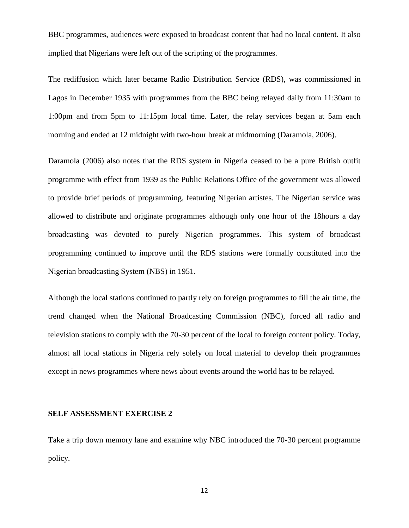BBC programmes, audiences were exposed to broadcast content that had no local content. It also implied that Nigerians were left out of the scripting of the programmes.

The rediffusion which later became Radio Distribution Service (RDS), was commissioned in Lagos in December 1935 with programmes from the BBC being relayed daily from 11:30am to 1:00pm and from 5pm to 11:15pm local time. Later, the relay services began at 5am each morning and ended at 12 midnight with two-hour break at midmorning (Daramola, 2006).

Daramola (2006) also notes that the RDS system in Nigeria ceased to be a pure British outfit programme with effect from 1939 as the Public Relations Office of the government was allowed to provide brief periods of programming, featuring Nigerian artistes. The Nigerian service was allowed to distribute and originate programmes although only one hour of the 18hours a day broadcasting was devoted to purely Nigerian programmes. This system of broadcast programming continued to improve until the RDS stations were formally constituted into the Nigerian broadcasting System (NBS) in 1951.

Although the local stations continued to partly rely on foreign programmes to fill the air time, the trend changed when the National Broadcasting Commission (NBC), forced all radio and television stations to comply with the 70-30 percent of the local to foreign content policy. Today, almost all local stations in Nigeria rely solely on local material to develop their programmes except in news programmes where news about events around the world has to be relayed.

#### **SELF ASSESSMENT EXERCISE 2**

Take a trip down memory lane and examine why NBC introduced the 70-30 percent programme policy.

12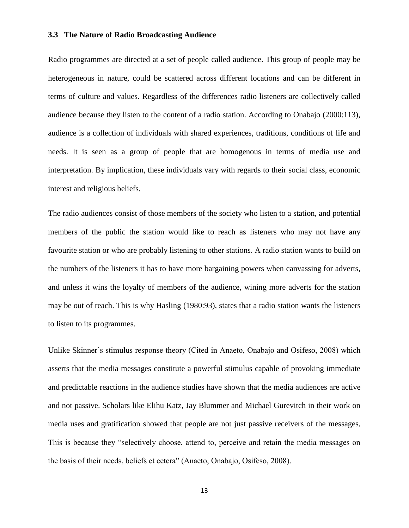#### **3.3 The Nature of Radio Broadcasting Audience**

Radio programmes are directed at a set of people called audience. This group of people may be heterogeneous in nature, could be scattered across different locations and can be different in terms of culture and values. Regardless of the differences radio listeners are collectively called audience because they listen to the content of a radio station. According to Onabajo (2000:113), audience is a collection of individuals with shared experiences, traditions, conditions of life and needs. It is seen as a group of people that are homogenous in terms of media use and interpretation. By implication, these individuals vary with regards to their social class, economic interest and religious beliefs.

The radio audiences consist of those members of the society who listen to a station, and potential members of the public the station would like to reach as listeners who may not have any favourite station or who are probably listening to other stations. A radio station wants to build on the numbers of the listeners it has to have more bargaining powers when canvassing for adverts, and unless it wins the loyalty of members of the audience, wining more adverts for the station may be out of reach. This is why Hasling (1980:93), states that a radio station wants the listeners to listen to its programmes.

Unlike Skinner's stimulus response theory (Cited in Anaeto, Onabajo and Osifeso, 2008) which asserts that the media messages constitute a powerful stimulus capable of provoking immediate and predictable reactions in the audience studies have shown that the media audiences are active and not passive. Scholars like Elihu Katz, Jay Blummer and Michael Gurevitch in their work on media uses and gratification showed that people are not just passive receivers of the messages, This is because they "selectively choose, attend to, perceive and retain the media messages on the basis of their needs, beliefs et cetera" (Anaeto, Onabajo, Osifeso, 2008).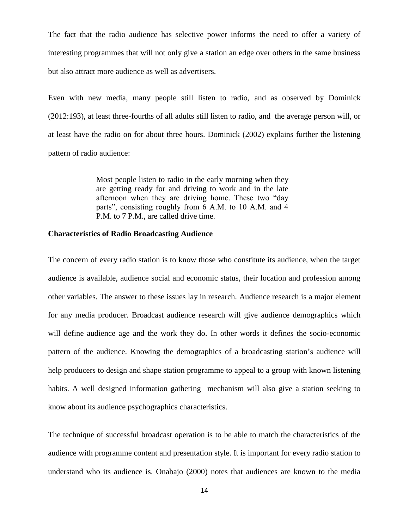The fact that the radio audience has selective power informs the need to offer a variety of interesting programmes that will not only give a station an edge over others in the same business but also attract more audience as well as advertisers.

Even with new media, many people still listen to radio, and as observed by Dominick (2012:193), at least three-fourths of all adults still listen to radio, and the average person will, or at least have the radio on for about three hours. Dominick (2002) explains further the listening pattern of radio audience:

> Most people listen to radio in the early morning when they are getting ready for and driving to work and in the late afternoon when they are driving home. These two "day parts", consisting roughly from 6 A.M. to 10 A.M. and 4 P.M. to 7 P.M., are called drive time.

#### **Characteristics of Radio Broadcasting Audience**

The concern of every radio station is to know those who constitute its audience, when the target audience is available, audience social and economic status, their location and profession among other variables. The answer to these issues lay in research. Audience research is a major element for any media producer. Broadcast audience research will give audience demographics which will define audience age and the work they do. In other words it defines the socio-economic pattern of the audience. Knowing the demographics of a broadcasting station's audience will help producers to design and shape station programme to appeal to a group with known listening habits. A well designed information gathering mechanism will also give a station seeking to know about its audience psychographics characteristics.

The technique of successful broadcast operation is to be able to match the characteristics of the audience with programme content and presentation style. It is important for every radio station to understand who its audience is. Onabajo (2000) notes that audiences are known to the media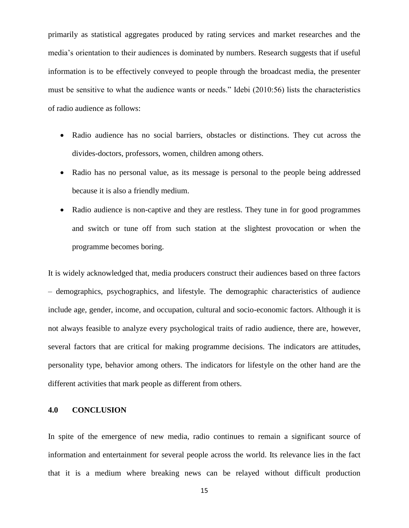primarily as statistical aggregates produced by rating services and market researches and the media's orientation to their audiences is dominated by numbers. Research suggests that if useful information is to be effectively conveyed to people through the broadcast media, the presenter must be sensitive to what the audience wants or needs." Idebi (2010:56) lists the characteristics of radio audience as follows:

- Radio audience has no social barriers, obstacles or distinctions. They cut across the divides-doctors, professors, women, children among others.
- Radio has no personal value, as its message is personal to the people being addressed because it is also a friendly medium.
- Radio audience is non-captive and they are restless. They tune in for good programmes and switch or tune off from such station at the slightest provocation or when the programme becomes boring.

It is widely acknowledged that, media producers construct their audiences based on three factors – demographics, psychographics, and lifestyle. The demographic characteristics of audience include age, gender, income, and occupation, cultural and socio-economic factors. Although it is not always feasible to analyze every psychological traits of radio audience, there are, however, several factors that are critical for making programme decisions. The indicators are attitudes, personality type, behavior among others. The indicators for lifestyle on the other hand are the different activities that mark people as different from others.

#### **4.0 CONCLUSION**

In spite of the emergence of new media, radio continues to remain a significant source of information and entertainment for several people across the world. Its relevance lies in the fact that it is a medium where breaking news can be relayed without difficult production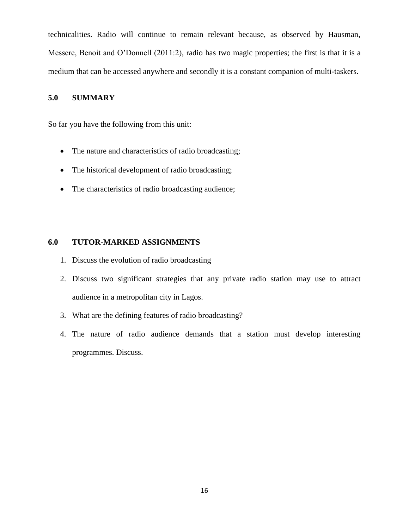technicalities. Radio will continue to remain relevant because, as observed by Hausman, Messere, Benoit and O'Donnell (2011:2), radio has two magic properties; the first is that it is a medium that can be accessed anywhere and secondly it is a constant companion of multi-taskers.

## **5.0 SUMMARY**

So far you have the following from this unit:

- The nature and characteristics of radio broadcasting;
- The historical development of radio broadcasting;
- The characteristics of radio broadcasting audience;

## **6.0 TUTOR-MARKED ASSIGNMENTS**

- 1. Discuss the evolution of radio broadcasting
- 2. Discuss two significant strategies that any private radio station may use to attract audience in a metropolitan city in Lagos.
- 3. What are the defining features of radio broadcasting?
- 4. The nature of radio audience demands that a station must develop interesting programmes. Discuss.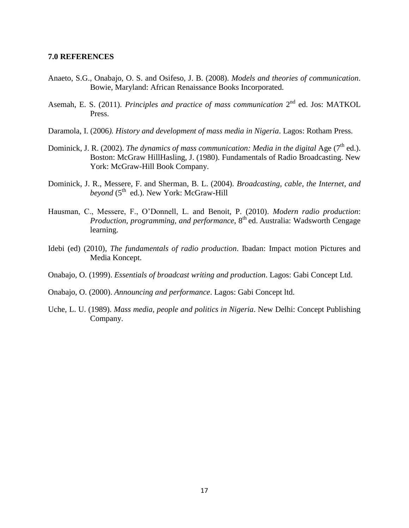#### **7.0 REFERENCES**

- Anaeto, S.G., Onabajo, O. S. and Osifeso, J. B. (2008). *Models and theories of communication*. Bowie, Maryland: African Renaissance Books Incorporated.
- Asemah, E. S. (2011). *Principles and practice of mass communication* 2<sup>nd</sup> ed. Jos: MATKOL Press.
- Daramola, I. (2006*). History and development of mass media in Nigeria*. Lagos: Rotham Press.
- Dominick, J. R. (2002). *The dynamics of mass communication: Media in the digital* Age (7<sup>th</sup> ed.). Boston: McGraw HillHasling, J. (1980). Fundamentals of Radio Broadcasting. New York: McGraw-Hill Book Company.
- Dominick, J. R., Messere, F. and Sherman, B. L. (2004). *Broadcasting, cable, the Internet, and* beyond (5<sup>th</sup> ed.). New York: McGraw-Hill
- Hausman, C., Messere, F., O'Donnell, L. and Benoit, P. (2010). *Modern radio production*: *Production, programming, and performance*, 8<sup>th</sup> ed. Australia: Wadsworth Cengage learning.
- Idebi (ed) (2010), *The fundamentals of radio production*. Ibadan: Impact motion Pictures and Media Koncept.
- Onabajo, O. (1999). *Essentials of broadcast writing and production*. Lagos: Gabi Concept Ltd.
- Onabajo, O. (2000). *Announcing and performance*. Lagos: Gabi Concept ltd.
- Uche, L. U. (1989). *Mass media, people and politics in Nigeria*. New Delhi: Concept Publishing Company.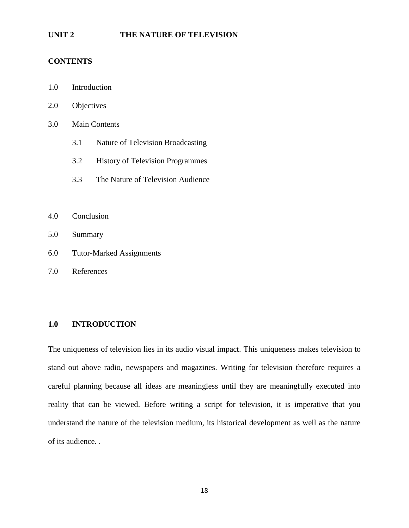#### **UNIT 2 THE NATURE OF TELEVISION**

#### **CONTENTS**

- 1.0 Introduction
- 2.0 Objectives
- 3.0 Main Contents
	- 3.1 Nature of Television Broadcasting
	- 3.2 History of Television Programmes
	- 3.3 The Nature of Television Audience
- 4.0 Conclusion
- 5.0 Summary
- 6.0 Tutor-Marked Assignments
- 7.0 References

## **1.0 INTRODUCTION**

The uniqueness of television lies in its audio visual impact. This uniqueness makes television to stand out above radio, newspapers and magazines. Writing for television therefore requires a careful planning because all ideas are meaningless until they are meaningfully executed into reality that can be viewed. Before writing a script for television, it is imperative that you understand the nature of the television medium, its historical development as well as the nature of its audience. .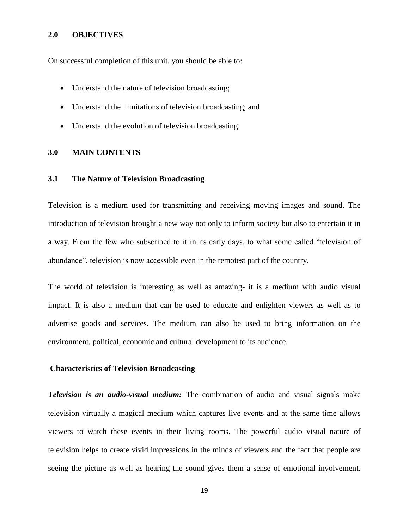#### **2.0 OBJECTIVES**

On successful completion of this unit, you should be able to:

- Understand the nature of television broadcasting;
- Understand the limitations of television broadcasting; and
- Understand the evolution of television broadcasting.

#### **3.0 MAIN CONTENTS**

#### **3.1 The Nature of Television Broadcasting**

Television is a medium used for transmitting and receiving moving images and sound. The introduction of television brought a new way not only to inform society but also to entertain it in a way. From the few who subscribed to it in its early days, to what some called "television of abundance", television is now accessible even in the remotest part of the country.

The world of television is interesting as well as amazing- it is a medium with audio visual impact. It is also a medium that can be used to educate and enlighten viewers as well as to advertise goods and services. The medium can also be used to bring information on the environment, political, economic and cultural development to its audience.

#### **Characteristics of Television Broadcasting**

*Television is an audio-visual medium:* The combination of audio and visual signals make television virtually a magical medium which captures live events and at the same time allows viewers to watch these events in their living rooms. The powerful audio visual nature of television helps to create vivid impressions in the minds of viewers and the fact that people are seeing the picture as well as hearing the sound gives them a sense of emotional involvement.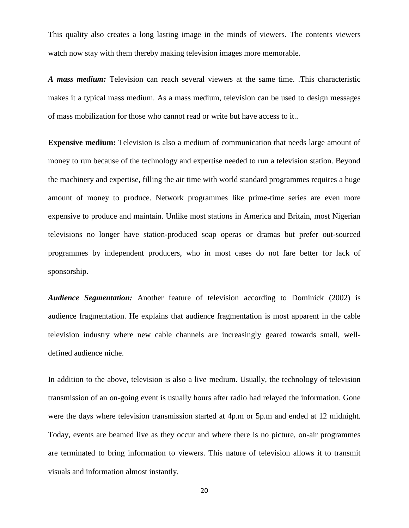This quality also creates a long lasting image in the minds of viewers. The contents viewers watch now stay with them thereby making television images more memorable.

*A mass medium:* Television can reach several viewers at the same time. .This characteristic makes it a typical mass medium. As a mass medium, television can be used to design messages of mass mobilization for those who cannot read or write but have access to it..

**Expensive medium:** Television is also a medium of communication that needs large amount of money to run because of the technology and expertise needed to run a television station. Beyond the machinery and expertise, filling the air time with world standard programmes requires a huge amount of money to produce. Network programmes like prime-time series are even more expensive to produce and maintain. Unlike most stations in America and Britain, most Nigerian televisions no longer have station-produced soap operas or dramas but prefer out-sourced programmes by independent producers, who in most cases do not fare better for lack of sponsorship.

*Audience Segmentation:* Another feature of television according to Dominick (2002) is audience fragmentation. He explains that audience fragmentation is most apparent in the cable television industry where new cable channels are increasingly geared towards small, welldefined audience niche.

In addition to the above, television is also a live medium. Usually, the technology of television transmission of an on-going event is usually hours after radio had relayed the information. Gone were the days where television transmission started at 4p.m or 5p.m and ended at 12 midnight. Today, events are beamed live as they occur and where there is no picture, on-air programmes are terminated to bring information to viewers. This nature of television allows it to transmit visuals and information almost instantly.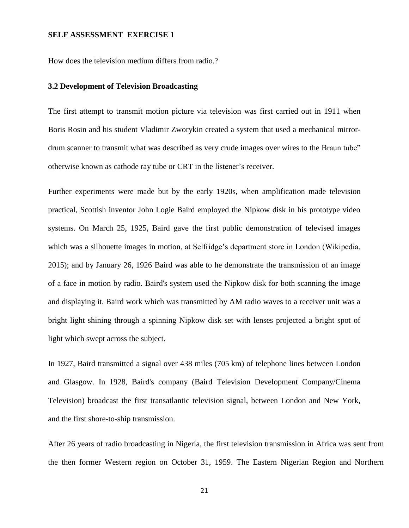#### **SELF ASSESSMENT EXERCISE 1**

How does the television medium differs from radio.?

#### **3.2 Development of Television Broadcasting**

The first attempt to transmit motion picture via television was first carried out in 1911 when Boris Rosin and his student Vladimir Zworykin created a system that used a mechanical mirrordrum scanner to transmit what was described as very crude images over wires to the Braun tube" otherwise known as cathode ray tube or CRT in the listener's receiver.

Further experiments were made but by the early 1920s, when amplification made television practical, Scottish inventor John Logie Baird employed the Nipkow disk in his prototype video systems. On March 25, 1925, Baird gave the first public demonstration of televised images which was a silhouette images in motion, at Selfridge's department store in London (Wikipedia, 2015); and by January 26, 1926 Baird was able to he demonstrate the transmission of an image of a face in motion by radio. Baird's system used the Nipkow disk for both scanning the image and displaying it. Baird work which was transmitted by AM radio waves to a receiver unit was a bright light shining through a spinning Nipkow disk set with lenses projected a bright spot of light which swept across the subject.

In 1927, Baird transmitted a signal over 438 miles (705 km) of telephone lines between London and Glasgow. In 1928, Baird's company (Baird Television Development Company/Cinema Television) broadcast the first transatlantic television signal, between London and New York, and the first shore-to-ship transmission.

After 26 years of radio broadcasting in Nigeria, the first television transmission in Africa was sent from the then former Western region on October 31, 1959. The Eastern Nigerian Region and Northern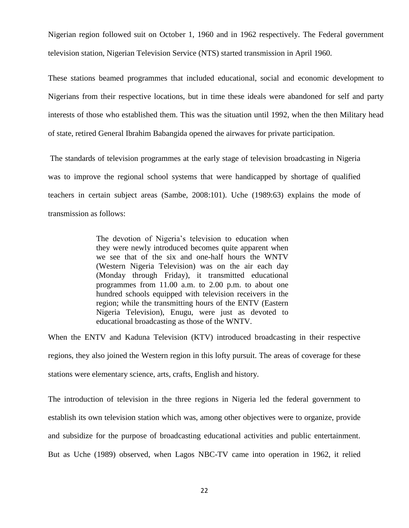Nigerian region followed suit on October 1, 1960 and in 1962 respectively. The Federal government television station, Nigerian Television Service (NTS) started transmission in April 1960.

These stations beamed programmes that included educational, social and economic development to Nigerians from their respective locations, but in time these ideals were abandoned for self and party interests of those who established them. This was the situation until 1992, when the then Military head of state, retired General Ibrahim Babangida opened the airwaves for private participation.

The standards of television programmes at the early stage of television broadcasting in Nigeria was to improve the regional school systems that were handicapped by shortage of qualified teachers in certain subject areas (Sambe, 2008:101). Uche (1989:63) explains the mode of transmission as follows:

> The devotion of Nigeria's television to education when they were newly introduced becomes quite apparent when we see that of the six and one-half hours the WNTV (Western Nigeria Television) was on the air each day (Monday through Friday), it transmitted educational programmes from 11.00 a.m. to 2.00 p.m. to about one hundred schools equipped with television receivers in the region; while the transmitting hours of the ENTV (Eastern Nigeria Television), Enugu, were just as devoted to educational broadcasting as those of the WNTV.

When the ENTV and Kaduna Television (KTV) introduced broadcasting in their respective regions, they also joined the Western region in this lofty pursuit. The areas of coverage for these stations were elementary science, arts, crafts, English and history.

The introduction of television in the three regions in Nigeria led the federal government to establish its own television station which was, among other objectives were to organize, provide and subsidize for the purpose of broadcasting educational activities and public entertainment. But as Uche (1989) observed, when Lagos NBC-TV came into operation in 1962, it relied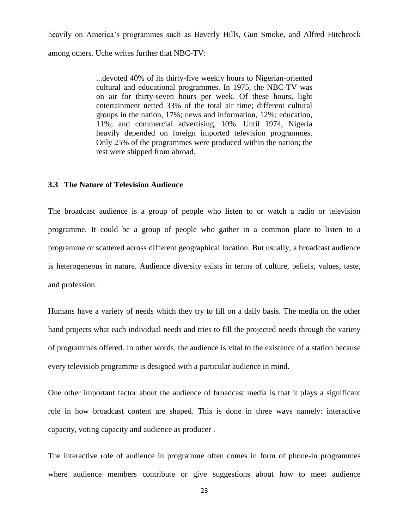heavily on America's programmes such as Beverly Hills, Gun Smoke, and Alfred Hitchcock among others. Uche writes further that NBC-TV:

> ...devoted 40% of its thirty-five weekly hours to Nigerian-oriented cultural and educational programmes. In 1975, the NBC-TV was on air for thirty-seven hours per week. Of these hours, light entertainment netted 33% of the total air time; different cultural groups in the nation, 17%; news and information, 12%; education, 11%; and commercial advertising, 10%. Until 1974, Nigeria heavily depended on foreign imported television programmes. Only 25% of the programmes were produced within the nation; the rest were shipped from abroad.

#### **3.3 The Nature of Television Audience**

The broadcast audience is a group of people who listen to or watch a radio or television programme. It could be a group of people who gather in a common place to listen to a programme or scattered across different geographical location. But usually, a broadcast audience is heterogeneous in nature. Audience diversity exists in terms of culture, beliefs, values, taste, and profession.

Humans have a variety of needs which they try to fill on a daily basis. The media on the other hand projects what each individual needs and tries to fill the projected needs through the variety of programmes offered. In other words, the audience is vital to the existence of a station because every televisiob programme is designed with a particular audience in mind.

One other important factor about the audience of broadcast media is that it plays a significant role in how broadcast content are shaped. This is done in three ways namely: interactive capacity, voting capacity and audience as producer .

The interactive role of audience in programme often comes in form of phone-in programmes where audience members contribute or give suggestions about how to meet audience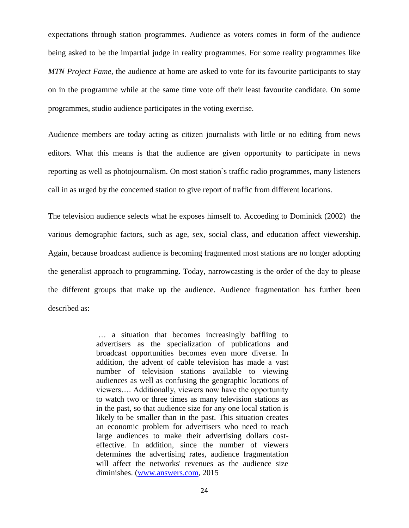expectations through station programmes. Audience as voters comes in form of the audience being asked to be the impartial judge in reality programmes. For some reality programmes like *MTN Project Fame,* the audience at home are asked to vote for its favourite participants to stay on in the programme while at the same time vote off their least favourite candidate. On some programmes, studio audience participates in the voting exercise.

Audience members are today acting as citizen journalists with little or no editing from news editors. What this means is that the audience are given opportunity to participate in news reporting as well as photojournalism. On most station`s traffic radio programmes, many listeners call in as urged by the concerned station to give report of traffic from different locations.

The television audience selects what he exposes himself to. Accoeding to Dominick (2002) the various demographic factors, such as age, sex, social class, and education affect viewership. Again, because broadcast audience is becoming fragmented most stations are no longer adopting the generalist approach to programming. Today, narrowcasting is the order of the day to please the different groups that make up the audience. Audience fragmentation has further been described as:

> … a situation that becomes increasingly baffling to advertisers as the specialization of publications and broadcast opportunities becomes even more diverse. In addition, the advent of cable television has made a vast number of television stations available to viewing audiences as well as confusing the geographic locations of viewers…. Additionally, viewers now have the opportunity to watch two or three times as many television stations as in the past, so that audience size for any one local station is likely to be smaller than in the past. This situation creates an economic problem for advertisers who need to reach large audiences to make their advertising dollars costeffective. In addition, since the number of viewers determines the advertising rates, audience fragmentation will affect the networks' revenues as the audience size diminishes. [\(www.answers.com,](http://www.answers.com/) 2015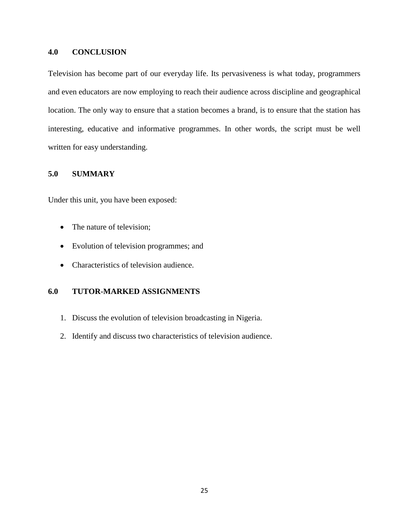## **4.0 CONCLUSION**

Television has become part of our everyday life. Its pervasiveness is what today, programmers and even educators are now employing to reach their audience across discipline and geographical location. The only way to ensure that a station becomes a brand, is to ensure that the station has interesting, educative and informative programmes. In other words, the script must be well written for easy understanding.

## **5.0 SUMMARY**

Under this unit, you have been exposed:

- The nature of television;
- Evolution of television programmes; and
- Characteristics of television audience.

## **6.0 TUTOR-MARKED ASSIGNMENTS**

- 1. Discuss the evolution of television broadcasting in Nigeria.
- 2. Identify and discuss two characteristics of television audience.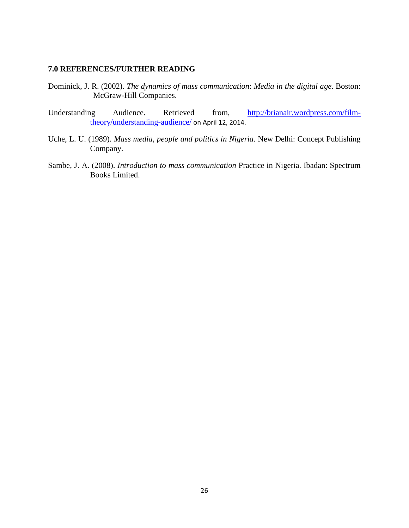#### **7.0 REFERENCES/FURTHER READING**

- Dominick, J. R. (2002). *The dynamics of mass communication*: *Media in the digital age*. Boston: McGraw-Hill Companies.
- Understanding Audience. Retrieved from, [http://brianair.wordpress.com/film](http://brianair.wordpress.com/film-theory/understanding-audience/)[theory/understanding-audience/](http://brianair.wordpress.com/film-theory/understanding-audience/) on April 12, 2014.
- Uche, L. U. (1989). *Mass media, people and politics in Nigeria*. New Delhi: Concept Publishing Company.
- Sambe, J. A. (2008). *Introduction to mass communication* Practice in Nigeria. Ibadan: Spectrum Books Limited.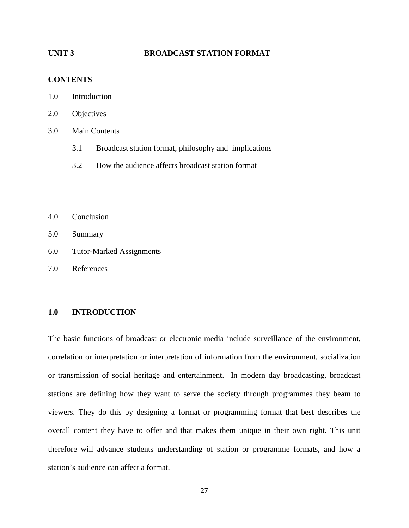#### **UNIT 3 BROADCAST STATION FORMAT**

#### **CONTENTS**

- 1.0 Introduction
- 2.0 Objectives

#### 3.0 Main Contents

- 3.1 Broadcast station format, philosophy and implications
- 3.2 How the audience affects broadcast station format
- 4.0 Conclusion
- 5.0 Summary
- 6.0 Tutor-Marked Assignments
- 7.0 References

#### **1.0 INTRODUCTION**

The basic functions of broadcast or electronic media include surveillance of the environment, correlation or interpretation or interpretation of information from the environment, socialization or transmission of social heritage and entertainment. In modern day broadcasting, broadcast stations are defining how they want to serve the society through programmes they beam to viewers. They do this by designing a format or programming format that best describes the overall content they have to offer and that makes them unique in their own right. This unit therefore will advance students understanding of station or programme formats, and how a station's audience can affect a format.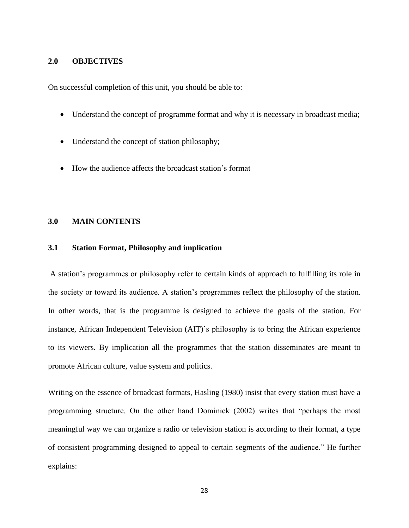#### **2.0 OBJECTIVES**

On successful completion of this unit, you should be able to:

- Understand the concept of programme format and why it is necessary in broadcast media;
- Understand the concept of station philosophy;
- How the audience affects the broadcast station's format

## **3.0 MAIN CONTENTS**

#### **3.1 Station Format, Philosophy and implication**

A station's programmes or philosophy refer to certain kinds of approach to fulfilling its role in the society or toward its audience. A station's programmes reflect the philosophy of the station. In other words, that is the programme is designed to achieve the goals of the station. For instance, African Independent Television (AIT)'s philosophy is to bring the African experience to its viewers. By implication all the programmes that the station disseminates are meant to promote African culture, value system and politics.

Writing on the essence of broadcast formats, Hasling (1980) insist that every station must have a programming structure. On the other hand Dominick (2002) writes that "perhaps the most meaningful way we can organize a radio or television station is according to their format, a type of consistent programming designed to appeal to certain segments of the audience." He further explains: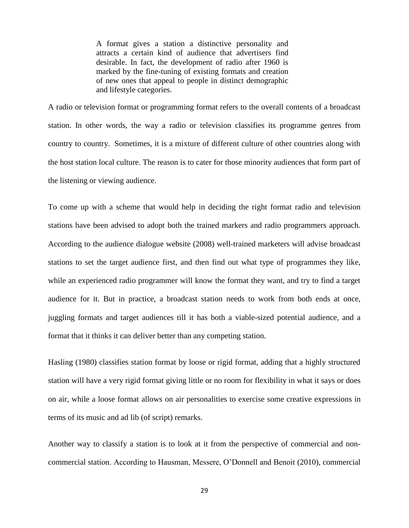A format gives a station a distinctive personality and attracts a certain kind of audience that advertisers find desirable. In fact, the development of radio after 1960 is marked by the fine-tuning of existing formats and creation of new ones that appeal to people in distinct demographic and lifestyle categories.

A radio or television format or programming format refers to the overall contents of a broadcast station. In other words, the way a radio or television classifies its programme genres from country to country. Sometimes, it is a mixture of different culture of other countries along with the host station local culture. The reason is to cater for those minority audiences that form part of the listening or viewing audience.

To come up with a scheme that would help in deciding the right format radio and television stations have been advised to adopt both the trained markers and radio programmers approach. According to the audience dialogue website (2008) well-trained marketers will advise broadcast stations to set the target audience first, and then find out what type of programmes they like, while an experienced radio programmer will know the format they want, and try to find a target audience for it. But in practice, a broadcast station needs to work from both ends at once, juggling formats and target audiences till it has both a viable-sized potential audience, and a format that it thinks it can deliver better than any competing station.

Hasling (1980) classifies station format by loose or rigid format, adding that a highly structured station will have a very rigid format giving little or no room for flexibility in what it says or does on air, while a loose format allows on air personalities to exercise some creative expressions in terms of its music and ad lib (of script) remarks.

Another way to classify a station is to look at it from the perspective of commercial and noncommercial station. According to Hausman, Messere, O'Donnell and Benoit (2010), commercial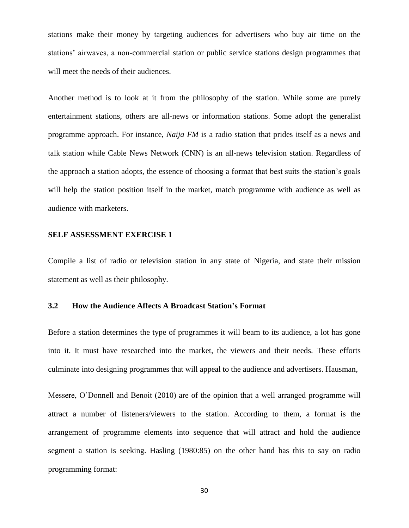stations make their money by targeting audiences for advertisers who buy air time on the stations' airwaves, a non-commercial station or public service stations design programmes that will meet the needs of their audiences.

Another method is to look at it from the philosophy of the station. While some are purely entertainment stations, others are all-news or information stations. Some adopt the generalist programme approach. For instance, *Naija FM* is a radio station that prides itself as a news and talk station while Cable News Network (CNN) is an all-news television station. Regardless of the approach a station adopts, the essence of choosing a format that best suits the station's goals will help the station position itself in the market, match programme with audience as well as audience with marketers.

#### **SELF ASSESSMENT EXERCISE 1**

Compile a list of radio or television station in any state of Nigeria, and state their mission statement as well as their philosophy.

#### **3.2 How the Audience Affects A Broadcast Station's Format**

Before a station determines the type of programmes it will beam to its audience, a lot has gone into it. It must have researched into the market, the viewers and their needs. These efforts culminate into designing programmes that will appeal to the audience and advertisers. Hausman,

Messere, O'Donnell and Benoit (2010) are of the opinion that a well arranged programme will attract a number of listeners/viewers to the station. According to them, a format is the arrangement of programme elements into sequence that will attract and hold the audience segment a station is seeking. Hasling (1980:85) on the other hand has this to say on radio programming format: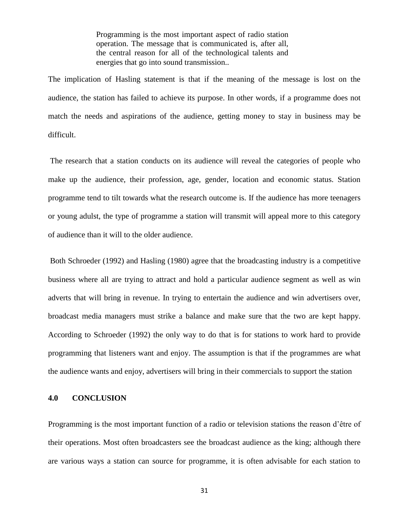Programming is the most important aspect of radio station operation. The message that is communicated is, after all, the central reason for all of the technological talents and energies that go into sound transmission..

The implication of Hasling statement is that if the meaning of the message is lost on the audience, the station has failed to achieve its purpose. In other words, if a programme does not match the needs and aspirations of the audience, getting money to stay in business may be difficult.

The research that a station conducts on its audience will reveal the categories of people who make up the audience, their profession, age, gender, location and economic status. Station programme tend to tilt towards what the research outcome is. If the audience has more teenagers or young adulst, the type of programme a station will transmit will appeal more to this category of audience than it will to the older audience.

Both Schroeder (1992) and Hasling (1980) agree that the broadcasting industry is a competitive business where all are trying to attract and hold a particular audience segment as well as win adverts that will bring in revenue. In trying to entertain the audience and win advertisers over, broadcast media managers must strike a balance and make sure that the two are kept happy. According to Schroeder (1992) the only way to do that is for stations to work hard to provide programming that listeners want and enjoy. The assumption is that if the programmes are what the audience wants and enjoy, advertisers will bring in their commercials to support the station

#### **4.0 CONCLUSION**

Programming is the most important function of a radio or television stations the reason d'être of their operations. Most often broadcasters see the broadcast audience as the king; although there are various ways a station can source for programme, it is often advisable for each station to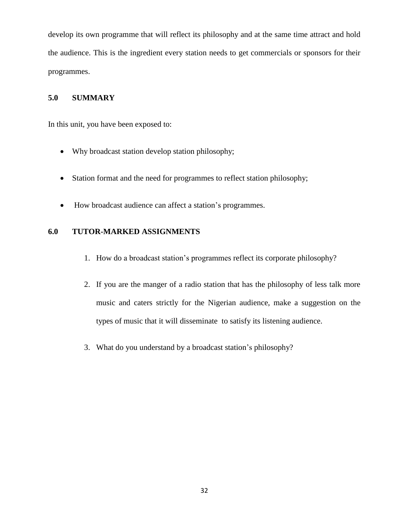develop its own programme that will reflect its philosophy and at the same time attract and hold the audience. This is the ingredient every station needs to get commercials or sponsors for their programmes.

## **5.0 SUMMARY**

In this unit, you have been exposed to:

- Why broadcast station develop station philosophy;
- Station format and the need for programmes to reflect station philosophy;
- How broadcast audience can affect a station's programmes.

## **6.0 TUTOR-MARKED ASSIGNMENTS**

- 1. How do a broadcast station's programmes reflect its corporate philosophy?
- 2. If you are the manger of a radio station that has the philosophy of less talk more music and caters strictly for the Nigerian audience, make a suggestion on the types of music that it will disseminate to satisfy its listening audience.
- 3. What do you understand by a broadcast station's philosophy?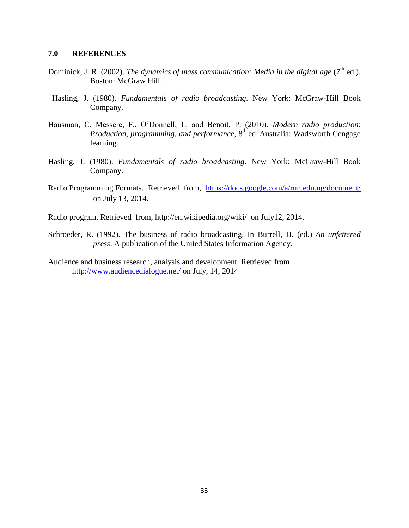#### **7.0 REFERENCES**

- Dominick, J. R. (2002). *The dynamics of mass communication: Media in the digital age* (7<sup>th</sup> ed.). Boston: McGraw Hill.
- Hasling, J. (1980). *Fundamentals of radio broadcasting*. New York: McGraw-Hill Book Company.
- Hausman, C. Messere, F., O'Donnell, L. and Benoit, P. (2010). *Modern radio production*: *Production, programming, and performance*, 8<sup>th</sup> ed. Australia: Wadsworth Cengage learning.
- Hasling, J. (1980). *Fundamentals of radio broadcasting*. New York: McGraw-Hill Book Company.
- Radio Programming Formats. Retrieved from, <https://docs.google.com/a/run.edu.ng/document/> on July 13, 2014.

Radio program. Retrieved from, http://en.wikipedia.org/wiki/ on July12, 2014.

- Schroeder, R. (1992). The business of radio broadcasting. In Burrell, H. (ed.) *An unfettered press*. A publication of the United States Information Agency.
- Audience and business research, analysis and development. Retrieved from <http://www.audiencedialogue.net/> on July, 14, 2014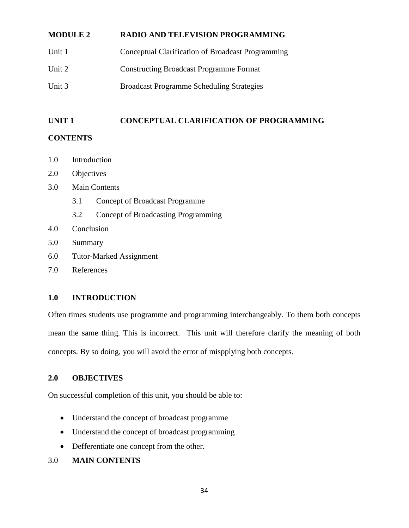## **MODULE 2 RADIO AND TELEVISION PROGRAMMING**

- Unit 1 Conceptual Clarification of Broadcast Programming
- Unit 2 Constructing Broadcast Programme Format
- Unit 3 Broadcast Programme Scheduling Strategies

## **UNIT 1 CONCEPTUAL CLARIFICATION OF PROGRAMMING**

## **CONTENTS**

- 1.0 Introduction
- 2.0 Objectives
- 3.0 Main Contents
	- 3.1 Concept of Broadcast Programme
	- 3.2 Concept of Broadcasting Programming
- 4.0 Conclusion
- 5.0 Summary
- 6.0 Tutor-Marked Assignment
- 7.0 References

## **1.0 INTRODUCTION**

Often times students use programme and programming interchangeably. To them both concepts mean the same thing. This is incorrect. This unit will therefore clarify the meaning of both concepts. By so doing, you will avoid the error of mispplying both concepts.

## **2.0 OBJECTIVES**

On successful completion of this unit, you should be able to:

- Understand the concept of broadcast programme
- Understand the concept of broadcast programming
- Defferentiate one concept from the other.

## 3.0 **MAIN CONTENTS**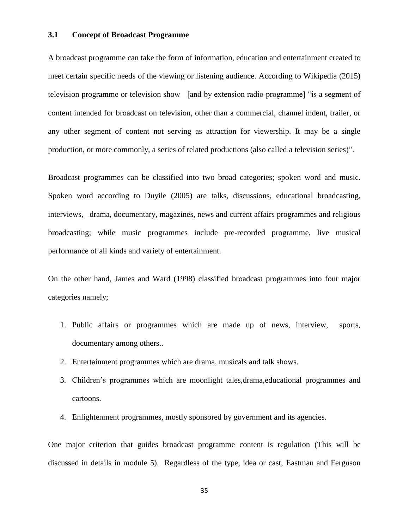#### **3.1 Concept of Broadcast Programme**

A broadcast programme can take the form of information, education and entertainment created to meet certain specific needs of the viewing or listening audience. According to Wikipedia (2015) television programme or television show [and by extension radio programme] "is a segment of content intended for broadcast on television, other than a commercial, channel indent, trailer, or any other segment of content not serving as attraction for viewership. It may be a single production, or more commonly, a series of related productions (also called a television series)".

Broadcast programmes can be classified into two broad categories; spoken word and music. Spoken word according to Duyile (2005) are talks, discussions, educational broadcasting, interviews, drama, documentary, magazines, news and current affairs programmes and religious broadcasting; while music programmes include pre-recorded programme, live musical performance of all kinds and variety of entertainment.

On the other hand, James and Ward (1998) classified broadcast programmes into four major categories namely;

- 1. Public affairs or programmes which are made up of news, interview, sports, documentary among others..
- 2. Entertainment programmes which are drama, musicals and talk shows.
- 3. Children's programmes which are moonlight tales,drama,educational programmes and cartoons.
- 4. Enlightenment programmes, mostly sponsored by government and its agencies.

One major criterion that guides broadcast programme content is regulation (This will be discussed in details in module 5). Regardless of the type, idea or cast, Eastman and Ferguson

35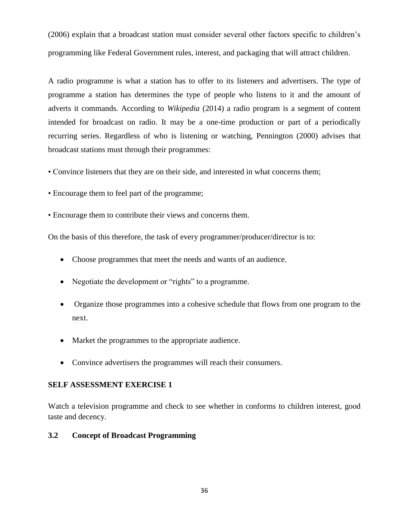(2006) explain that a broadcast station must consider several other factors specific to children's programming like Federal Government rules, interest, and packaging that will attract children.

A radio programme is what a station has to offer to its listeners and advertisers. The type of programme a station has determines the type of people who listens to it and the amount of adverts it commands. According to *Wikipedia* (2014) a radio program is a segment of content intended for broadcast on radio. It may be a one-time production or part of a periodically recurring series. Regardless of who is listening or watching, Pennington (2000) advises that broadcast stations must through their programmes:

- Convince listeners that they are on their side, and interested in what concerns them;
- Encourage them to feel part of the programme;
- Encourage them to contribute their views and concerns them.

On the basis of this therefore, the task of every programmer/producer/director is to:

- Choose programmes that meet the needs and wants of an audience.
- Negotiate the development or "rights" to a programme.
- Organize those programmes into a cohesive schedule that flows from one program to the next.
- Market the programmes to the appropriate audience.
- Convince advertisers the programmes will reach their consumers.

## **SELF ASSESSMENT EXERCISE 1**

Watch a television programme and check to see whether in conforms to children interest, good taste and decency.

## **3.2 Concept of Broadcast Programming**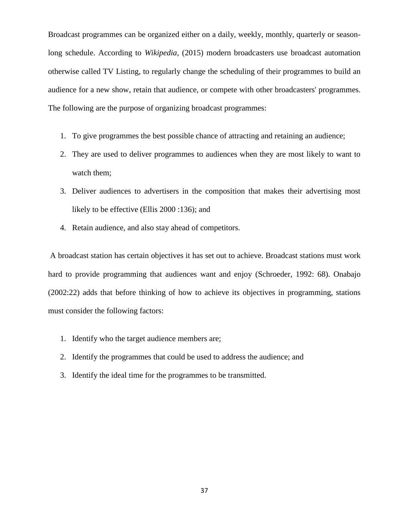Broadcast programmes can be organized either on a daily, weekly, monthly, quarterly or seasonlong schedule. According to *Wikipedia*, (2015) modern broadcasters use broadcast automation otherwise called TV Listing, to regularly change the scheduling of their programmes to build an audience for a new show, retain that audience, or compete with other broadcasters' programmes. The following are the purpose of organizing broadcast programmes:

- 1. To give programmes the best possible chance of attracting and retaining an audience;
- 2. They are used to deliver programmes to audiences when they are most likely to want to watch them;
- 3. Deliver audiences to advertisers in the composition that makes their advertising most likely to be effective (Ellis 2000 :136); and
- 4. Retain audience, and also stay ahead of competitors.

A broadcast station has certain objectives it has set out to achieve. Broadcast stations must work hard to provide programming that audiences want and enjoy (Schroeder, 1992: 68). Onabajo (2002:22) adds that before thinking of how to achieve its objectives in programming, stations must consider the following factors:

- 1. Identify who the target audience members are;
- 2. Identify the programmes that could be used to address the audience; and
- 3. Identify the ideal time for the programmes to be transmitted.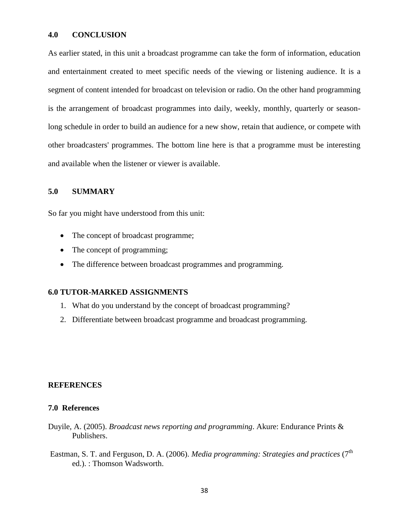### **4.0 CONCLUSION**

As earlier stated, in this unit a broadcast programme can take the form of information, education and entertainment created to meet specific needs of the viewing or listening audience. It is a segment of content intended for broadcast on television or radio. On the other hand programming is the arrangement of broadcast programmes into daily, weekly, monthly, quarterly or seasonlong schedule in order to build an audience for a new show, retain that audience, or compete with other broadcasters' programmes. The bottom line here is that a programme must be interesting and available when the listener or viewer is available.

### **5.0 SUMMARY**

So far you might have understood from this unit:

- The concept of broadcast programme;
- The concept of programming;
- The difference between broadcast programmes and programming.

### **6.0 TUTOR-MARKED ASSIGNMENTS**

- 1. What do you understand by the concept of broadcast programming?
- 2. Differentiate between broadcast programme and broadcast programming.

### **REFERENCES**

### **7.0 References**

- Duyile, A. (2005). *Broadcast news reporting and programming*. Akure: Endurance Prints & Publishers.
- Eastman, S. T. and Ferguson, D. A. (2006). *Media programming: Strategies and practices* (7<sup>th</sup> ed.). : Thomson Wadsworth.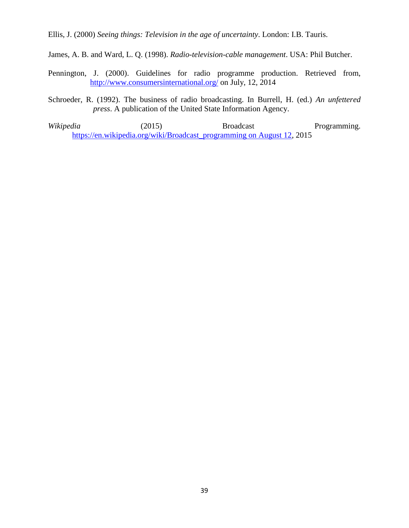Ellis, J. (2000) *Seeing things: Television in the age of uncertainty*. London: I.B. Tauris.

James, A. B. and Ward, L. Q. (1998). *Radio-television-cable management*. USA: Phil Butcher.

- Pennington, J. (2000). Guidelines for radio programme production. Retrieved from, <http://www.consumersinternational.org/> on July, 12, 2014
- Schroeder, R. (1992). The business of radio broadcasting. In Burrell, H. (ed.) *An unfettered press*. A publication of the United State Information Agency.
- *Wikipedia* (2015) Broadcast Programming. [https://en.wikipedia.org/wiki/Broadcast\\_programming on August 12,](https://en.wikipedia.org/wiki/Broadcast_programming%20on%20August%2012) 2015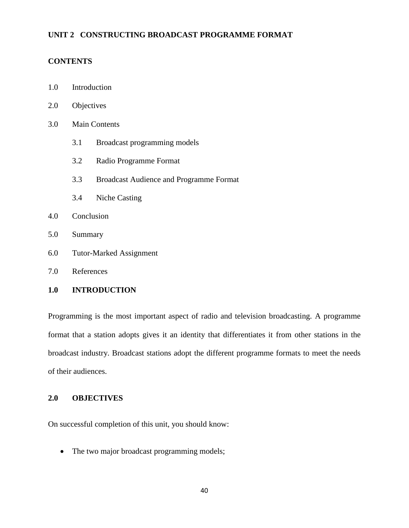## **UNIT 2 CONSTRUCTING BROADCAST PROGRAMME FORMAT**

### **CONTENTS**

- 1.0 Introduction
- 2.0 Objectives
- 3.0 Main Contents
	- 3.1 Broadcast programming models
	- 3.2 Radio Programme Format
	- 3.3 Broadcast Audience and Programme Format
	- 3.4 Niche Casting

### 4.0 Conclusion

- 5.0 Summary
- 6.0 Tutor-Marked Assignment
- 7.0 References

## **1.0 INTRODUCTION**

Programming is the most important aspect of radio and television broadcasting. A programme format that a station adopts gives it an identity that differentiates it from other stations in the broadcast industry. Broadcast stations adopt the different programme formats to meet the needs of their audiences.

# **2.0 OBJECTIVES**

On successful completion of this unit, you should know:

• The two major broadcast programming models;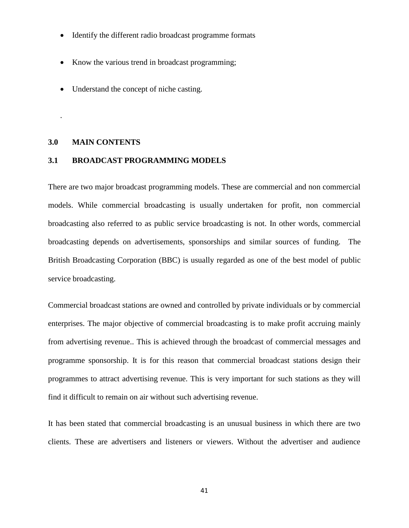- Identify the different radio broadcast programme formats
- Know the various trend in broadcast programming;
- Understand the concept of niche casting.

#### **3.0 MAIN CONTENTS**

.

#### **3.1 BROADCAST PROGRAMMING MODELS**

There are two major broadcast programming models. These are commercial and non commercial models. While commercial broadcasting is usually undertaken for profit, non commercial broadcasting also referred to as public service broadcasting is not. In other words, commercial broadcasting depends on advertisements, sponsorships and similar sources of funding. The British Broadcasting Corporation (BBC) is usually regarded as one of the best model of public service broadcasting.

Commercial broadcast stations are owned and controlled by private individuals or by commercial enterprises. The major objective of commercial broadcasting is to make profit accruing mainly from advertising revenue.. This is achieved through the broadcast of commercial messages and programme sponsorship. It is for this reason that commercial broadcast stations design their programmes to attract advertising revenue. This is very important for such stations as they will find it difficult to remain on air without such advertising revenue.

It has been stated that commercial broadcasting is an unusual business in which there are two clients. These are advertisers and listeners or viewers. Without the advertiser and audience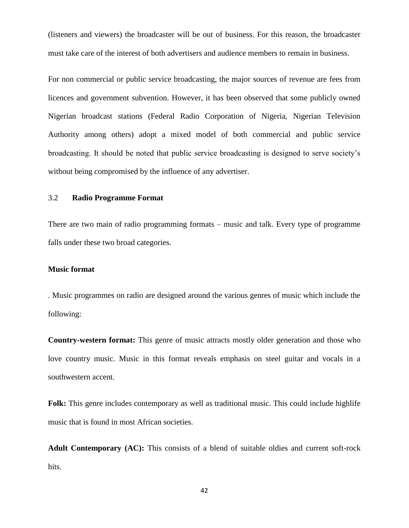(listeners and viewers) the broadcaster will be out of business. For this reason, the broadcaster must take care of the interest of both advertisers and audience members to remain in business.

For non commercial or public service broadcasting, the major sources of revenue are fees from licences and government subvention. However, it has been observed that some publicly owned Nigerian broadcast stations (Federal Radio Corporation of Nigeria, Nigerian Television Authority among others) adopt a mixed model of both commercial and public service broadcasting. It should be noted that public service broadcasting is designed to serve society's without being compromised by the influence of any advertiser.

### 3.2 **Radio Programme Format**

There are two main of radio programming formats – music and talk. Every type of programme falls under these two broad categories.

#### **Music format**

. Music programmes on radio are designed around the various genres of music which include the following:

**Country-western format:** This genre of music attracts mostly older generation and those who love country music. Music in this format reveals emphasis on steel guitar and vocals in a southwestern accent.

**Folk:** This genre includes contemporary as well as traditional music. This could include highlife music that is found in most African societies.

**Adult Contemporary (AC):** This consists of a blend of suitable oldies and current soft-rock hits.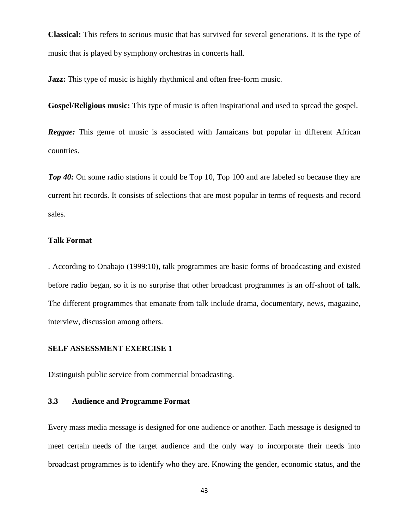**Classical:** This refers to serious music that has survived for several generations. It is the type of music that is played by symphony orchestras in concerts hall.

**Jazz:** This type of music is highly rhythmical and often free-form music.

**Gospel/Religious music:** This type of music is often inspirational and used to spread the gospel.

*Reggae:* This genre of music is associated with Jamaicans but popular in different African countries.

*Top 40:* On some radio stations it could be Top 10, Top 100 and are labeled so because they are current hit records. It consists of selections that are most popular in terms of requests and record sales.

### **Talk Format**

. According to Onabajo (1999:10), talk programmes are basic forms of broadcasting and existed before radio began, so it is no surprise that other broadcast programmes is an off-shoot of talk. The different programmes that emanate from talk include drama, documentary, news, magazine, interview, discussion among others.

### **SELF ASSESSMENT EXERCISE 1**

Distinguish public service from commercial broadcasting.

### **3.3 Audience and Programme Format**

Every mass media message is designed for one audience or another. Each message is designed to meet certain needs of the target audience and the only way to incorporate their needs into broadcast programmes is to identify who they are. Knowing the gender, economic status, and the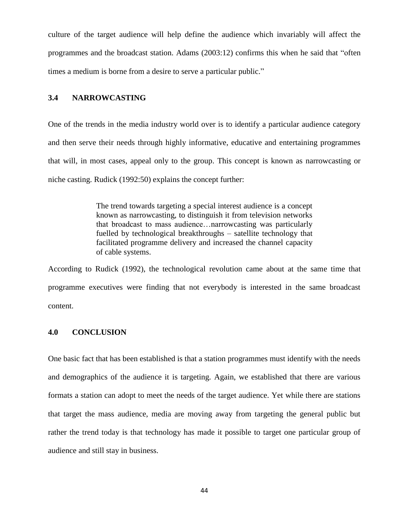culture of the target audience will help define the audience which invariably will affect the programmes and the broadcast station. Adams (2003:12) confirms this when he said that "often times a medium is borne from a desire to serve a particular public."

### **3.4 NARROWCASTING**

One of the trends in the media industry world over is to identify a particular audience category and then serve their needs through highly informative, educative and entertaining programmes that will, in most cases, appeal only to the group. This concept is known as narrowcasting or niche casting. Rudick (1992:50) explains the concept further:

> The trend towards targeting a special interest audience is a concept known as narrowcasting, to distinguish it from television networks that broadcast to mass audience…narrowcasting was particularly fuelled by technological breakthroughs – satellite technology that facilitated programme delivery and increased the channel capacity of cable systems.

According to Rudick (1992), the technological revolution came about at the same time that programme executives were finding that not everybody is interested in the same broadcast content.

#### **4.0 CONCLUSION**

One basic fact that has been established is that a station programmes must identify with the needs and demographics of the audience it is targeting. Again, we established that there are various formats a station can adopt to meet the needs of the target audience. Yet while there are stations that target the mass audience, media are moving away from targeting the general public but rather the trend today is that technology has made it possible to target one particular group of audience and still stay in business.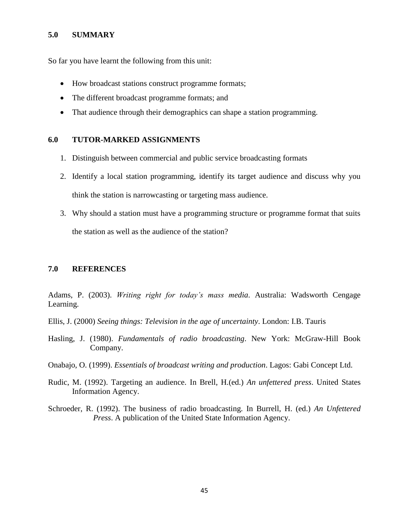## **5.0 SUMMARY**

So far you have learnt the following from this unit:

- How broadcast stations construct programme formats;
- The different broadcast programme formats; and
- That audience through their demographics can shape a station programming.

### **6.0 TUTOR-MARKED ASSIGNMENTS**

- 1. Distinguish between commercial and public service broadcasting formats
- 2. Identify a local station programming, identify its target audience and discuss why you think the station is narrowcasting or targeting mass audience.
- 3. Why should a station must have a programming structure or programme format that suits the station as well as the audience of the station?

### **7.0 REFERENCES**

Adams, P. (2003). *Writing right for today's mass media*. Australia: Wadsworth Cengage Learning.

- Ellis, J. (2000) *Seeing things: Television in the age of uncertainty*. London: I.B. Tauris
- Hasling, J. (1980). *Fundamentals of radio broadcasting*. New York: McGraw-Hill Book Company.
- Onabajo, O. (1999). *Essentials of broadcast writing and production*. Lagos: Gabi Concept Ltd.
- Rudic, M. (1992). Targeting an audience. In Brell, H.(ed.) *An unfettered press*. United States Information Agency.
- Schroeder, R. (1992). The business of radio broadcasting. In Burrell, H. (ed.) *An Unfettered Press*. A publication of the United State Information Agency.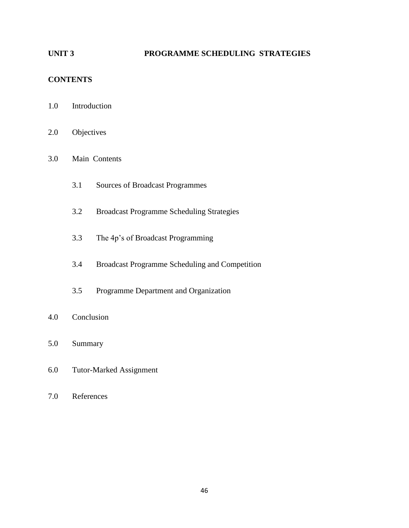# **UNIT 3 PROGRAMME SCHEDULING STRATEGIES**

# **CONTENTS**

- 1.0 Introduction
- 2.0 Objectives
- 3.0 Main Contents
	- 3.1 Sources of Broadcast Programmes
	- 3.2 Broadcast Programme Scheduling Strategies
	- 3.3 The 4p's of Broadcast Programming
	- 3.4 Broadcast Programme Scheduling and Competition
	- 3.5 Programme Department and Organization
- 4.0 Conclusion
- 5.0 Summary
- 6.0 Tutor-Marked Assignment
- 7.0 References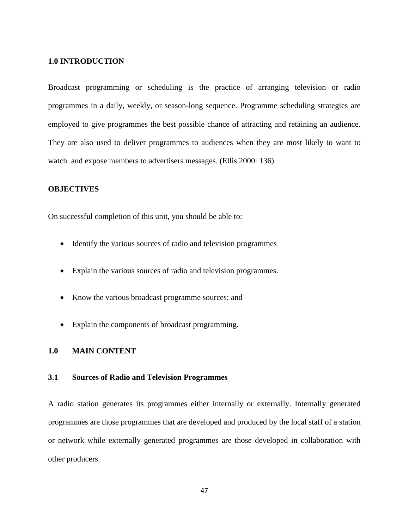#### **1.0 INTRODUCTION**

Broadcast programming or scheduling is the practice of arranging television or radio programmes in a daily, weekly, or season-long sequence. Programme scheduling strategies are employed to give programmes the best possible chance of attracting and retaining an audience. They are also used to deliver programmes to audiences when they are most likely to want to watch and expose members to advertisers messages. (Ellis 2000: 136).

### **OBJECTIVES**

On successful completion of this unit, you should be able to:

- Identify the various sources of radio and television programmes
- Explain the various sources of radio and television programmes.
- Know the various broadcast programme sources; and
- Explain the components of broadcast programming.

### **1.0 MAIN CONTENT**

#### **3.1 Sources of Radio and Television Programmes**

A radio station generates its programmes either internally or externally. Internally generated programmes are those programmes that are developed and produced by the local staff of a station or network while externally generated programmes are those developed in collaboration with other producers.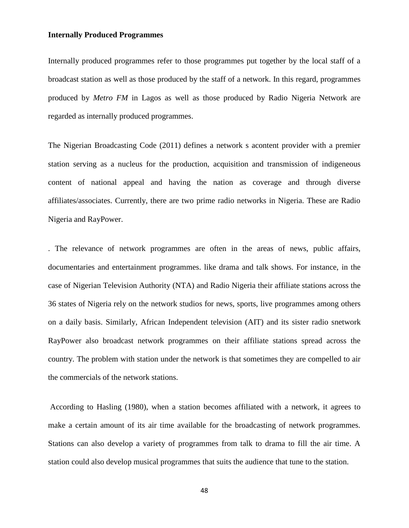#### **Internally Produced Programmes**

Internally produced programmes refer to those programmes put together by the local staff of a broadcast station as well as those produced by the staff of a network. In this regard, programmes produced by *Metro FM* in Lagos as well as those produced by Radio Nigeria Network are regarded as internally produced programmes.

The Nigerian Broadcasting Code (2011) defines a network s acontent provider with a premier station serving as a nucleus for the production, acquisition and transmission of indigeneous content of national appeal and having the nation as coverage and through diverse affiliates/associates. Currently, there are two prime radio networks in Nigeria. These are Radio Nigeria and RayPower.

. The relevance of network programmes are often in the areas of news, public affairs, documentaries and entertainment programmes. like drama and talk shows. For instance, in the case of Nigerian Television Authority (NTA) and Radio Nigeria their affiliate stations across the 36 states of Nigeria rely on the network studios for news, sports, live programmes among others on a daily basis. Similarly, African Independent television (AIT) and its sister radio snetwork RayPower also broadcast network programmes on their affiliate stations spread across the country. The problem with station under the network is that sometimes they are compelled to air the commercials of the network stations.

According to Hasling (1980), when a station becomes affiliated with a network, it agrees to make a certain amount of its air time available for the broadcasting of network programmes. Stations can also develop a variety of programmes from talk to drama to fill the air time. A station could also develop musical programmes that suits the audience that tune to the station.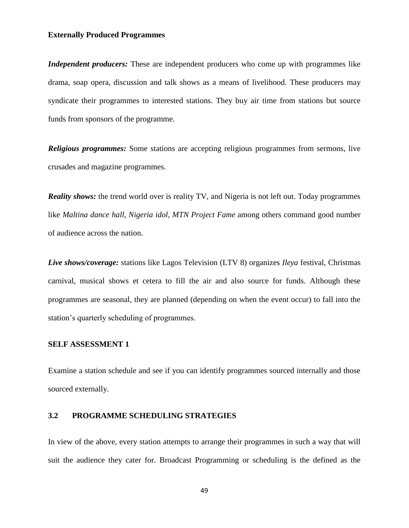#### **Externally Produced Programmes**

*Independent producers:* These are independent producers who come up with programmes like drama, soap opera, discussion and talk shows as a means of livelihood. These producers may syndicate their programmes to interested stations. They buy air time from stations but source funds from sponsors of the programme.

*Religious programmes:* Some stations are accepting religious programmes from sermons, live crusades and magazine programmes.

*Reality shows:* the trend world over is reality TV, and Nigeria is not left out. Today programmes like *Maltina dance hall*, *Nigeria idol*, *MTN Project Fame* among others command good number of audience across the nation.

*Live shows/coverage:* stations like Lagos Television (LTV 8) organizes *Ileya* festival, Christmas carnival, musical shows et cetera to fill the air and also source for funds. Although these programmes are seasonal, they are planned (depending on when the event occur) to fall into the station's quarterly scheduling of programmes.

#### **SELF ASSESSMENT 1**

Examine a station schedule and see if you can identify programmes sourced internally and those sourced externally.

## **3.2 PROGRAMME SCHEDULING STRATEGIES**

In view of the above, every station attempts to arrange their programmes in such a way that will suit the audience they cater for. Broadcast Programming or scheduling is the defined as the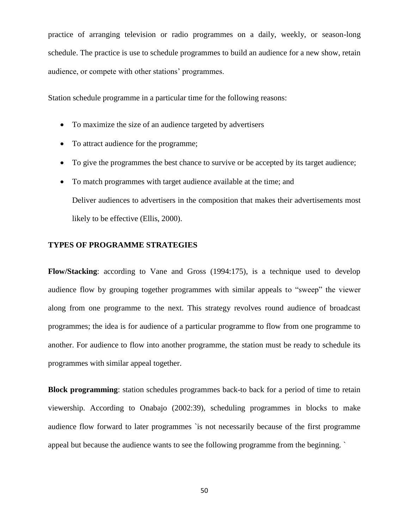practice of arranging television or radio programmes on a daily, weekly, or season-long schedule. The practice is use to schedule programmes to build an audience for a new show, retain audience, or compete with other stations' programmes.

Station schedule programme in a particular time for the following reasons:

- To maximize the size of an audience targeted by advertisers
- To attract audience for the programme;
- To give the programmes the best chance to survive or be accepted by its target audience;
- To match programmes with target audience available at the time; and Deliver audiences to advertisers in the composition that makes their advertisements most likely to be effective (Ellis, 2000).

#### **TYPES OF PROGRAMME STRATEGIES**

**Flow/Stacking**: according to Vane and Gross (1994:175), is a technique used to develop audience flow by grouping together programmes with similar appeals to "sweep" the viewer along from one programme to the next. This strategy revolves round audience of broadcast programmes; the idea is for audience of a particular programme to flow from one programme to another. For audience to flow into another programme, the station must be ready to schedule its programmes with similar appeal together.

**Block programming**: station schedules programmes back-to back for a period of time to retain viewership. According to Onabajo (2002:39), scheduling programmes in blocks to make audience flow forward to later programmes `is not necessarily because of the first programme appeal but because the audience wants to see the following programme from the beginning. `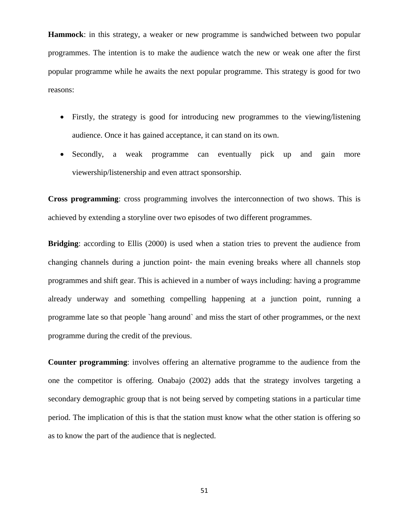**Hammock**: in this strategy, a weaker or new programme is sandwiched between two popular programmes. The intention is to make the audience watch the new or weak one after the first popular programme while he awaits the next popular programme. This strategy is good for two reasons:

- Firstly, the strategy is good for introducing new programmes to the viewing/listening audience. Once it has gained acceptance, it can stand on its own.
- Secondly, a weak programme can eventually pick up and gain more viewership/listenership and even attract sponsorship.

**Cross programming**: cross programming involves the interconnection of two shows. This is achieved by extending a storyline over two episodes of two different programmes.

**Bridging**: according to Ellis (2000) is used when a station tries to prevent the audience from changing channels during a junction point- the main evening breaks where all channels stop programmes and shift gear. This is achieved in a number of ways including: having a programme already underway and something compelling happening at a junction point, running a programme late so that people `hang around` and miss the start of other programmes, or the next programme during the credit of the previous.

**Counter programming**: involves offering an alternative programme to the audience from the one the competitor is offering. Onabajo (2002) adds that the strategy involves targeting a secondary demographic group that is not being served by competing stations in a particular time period. The implication of this is that the station must know what the other station is offering so as to know the part of the audience that is neglected.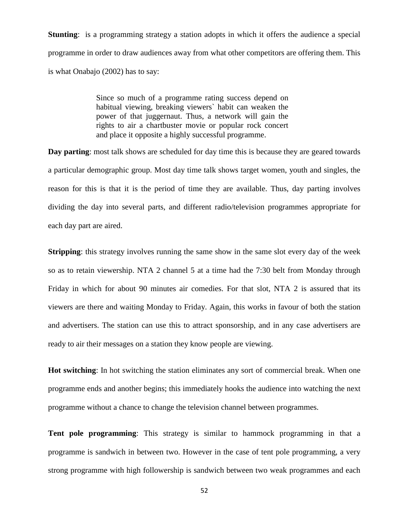**Stunting**: is a programming strategy a station adopts in which it offers the audience a special programme in order to draw audiences away from what other competitors are offering them. This is what Onabajo (2002) has to say:

> Since so much of a programme rating success depend on habitual viewing, breaking viewers` habit can weaken the power of that juggernaut. Thus, a network will gain the rights to air a chartbuster movie or popular rock concert and place it opposite a highly successful programme.

**Day parting**: most talk shows are scheduled for day time this is because they are geared towards a particular demographic group. Most day time talk shows target women, youth and singles, the reason for this is that it is the period of time they are available. Thus, day parting involves dividing the day into several parts, and different radio/television programmes appropriate for each day part are aired.

**Stripping**: this strategy involves running the same show in the same slot every day of the week so as to retain viewership. NTA 2 channel 5 at a time had the 7:30 belt from Monday through Friday in which for about 90 minutes air comedies. For that slot, NTA 2 is assured that its viewers are there and waiting Monday to Friday. Again, this works in favour of both the station and advertisers. The station can use this to attract sponsorship, and in any case advertisers are ready to air their messages on a station they know people are viewing.

**Hot switching**: In hot switching the station eliminates any sort of commercial break. When one programme ends and another begins; this immediately hooks the audience into watching the next programme without a chance to change the television channel between programmes.

**Tent pole programming**: This strategy is similar to hammock programming in that a programme is sandwich in between two. However in the case of tent pole programming, a very strong programme with high followership is sandwich between two weak programmes and each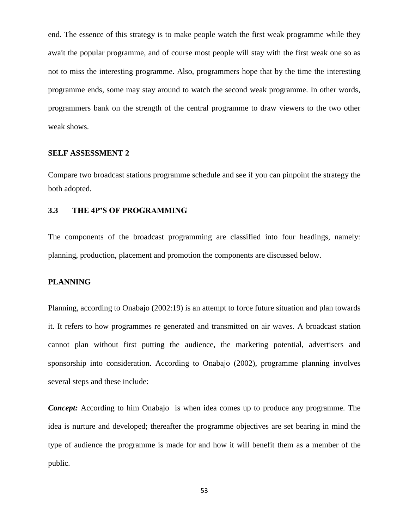end. The essence of this strategy is to make people watch the first weak programme while they await the popular programme, and of course most people will stay with the first weak one so as not to miss the interesting programme. Also, programmers hope that by the time the interesting programme ends, some may stay around to watch the second weak programme. In other words, programmers bank on the strength of the central programme to draw viewers to the two other weak shows.

#### **SELF ASSESSMENT 2**

Compare two broadcast stations programme schedule and see if you can pinpoint the strategy the both adopted.

### **3.3 THE 4P'S OF PROGRAMMING**

The components of the broadcast programming are classified into four headings, namely: planning, production, placement and promotion the components are discussed below.

### **PLANNING**

Planning, according to Onabajo (2002:19) is an attempt to force future situation and plan towards it. It refers to how programmes re generated and transmitted on air waves. A broadcast station cannot plan without first putting the audience, the marketing potential, advertisers and sponsorship into consideration. According to Onabajo (2002), programme planning involves several steps and these include:

*Concept:* According to him Onabajo is when idea comes up to produce any programme. The idea is nurture and developed; thereafter the programme objectives are set bearing in mind the type of audience the programme is made for and how it will benefit them as a member of the public.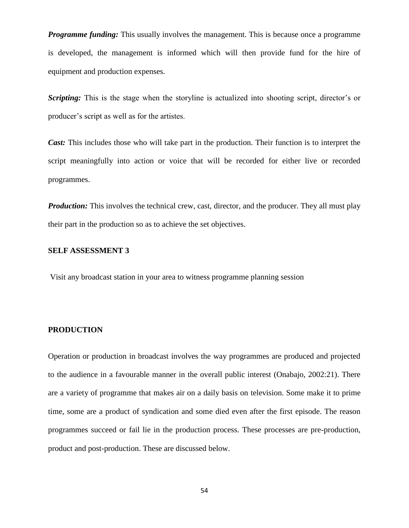*Programme funding:* This usually involves the management. This is because once a programme is developed, the management is informed which will then provide fund for the hire of equipment and production expenses.

*Scripting:* This is the stage when the storyline is actualized into shooting script, director's or producer's script as well as for the artistes.

*Cast:* This includes those who will take part in the production. Their function is to interpret the script meaningfully into action or voice that will be recorded for either live or recorded programmes.

*Production:* This involves the technical crew, cast, director, and the producer. They all must play their part in the production so as to achieve the set objectives.

### **SELF ASSESSMENT 3**

Visit any broadcast station in your area to witness programme planning session

### **PRODUCTION**

Operation or production in broadcast involves the way programmes are produced and projected to the audience in a favourable manner in the overall public interest (Onabajo, 2002:21). There are a variety of programme that makes air on a daily basis on television. Some make it to prime time, some are a product of syndication and some died even after the first episode. The reason programmes succeed or fail lie in the production process. These processes are pre-production, product and post-production. These are discussed below.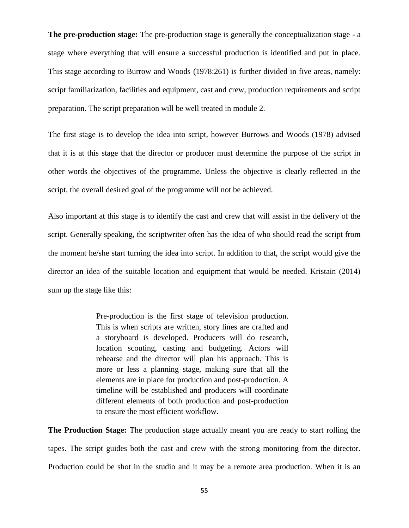**The pre-production stage:** The pre-production stage is generally the conceptualization stage - a stage where everything that will ensure a successful production is identified and put in place. This stage according to Burrow and Woods (1978:261) is further divided in five areas, namely: script familiarization, facilities and equipment, cast and crew, production requirements and script preparation. The script preparation will be well treated in module 2.

The first stage is to develop the idea into script, however Burrows and Woods (1978) advised that it is at this stage that the director or producer must determine the purpose of the script in other words the objectives of the programme. Unless the objective is clearly reflected in the script, the overall desired goal of the programme will not be achieved.

Also important at this stage is to identify the cast and crew that will assist in the delivery of the script. Generally speaking, the scriptwriter often has the idea of who should read the script from the moment he/she start turning the idea into script. In addition to that, the script would give the director an idea of the suitable location and equipment that would be needed. Kristain (2014) sum up the stage like this:

> Pre-production is the first stage of television production. This is when scripts are written, story lines are crafted and a storyboard is developed. Producers will do research, location scouting, casting and budgeting. Actors will rehearse and the director will plan his approach. This is more or less a planning stage, making sure that all the elements are in place for production and post-production. A timeline will be established and producers will coordinate different elements of both production and post-production to ensure the most efficient workflow.

**The Production Stage:** The production stage actually meant you are ready to start rolling the tapes. The script guides both the cast and crew with the strong monitoring from the director. Production could be shot in the studio and it may be a remote area production. When it is an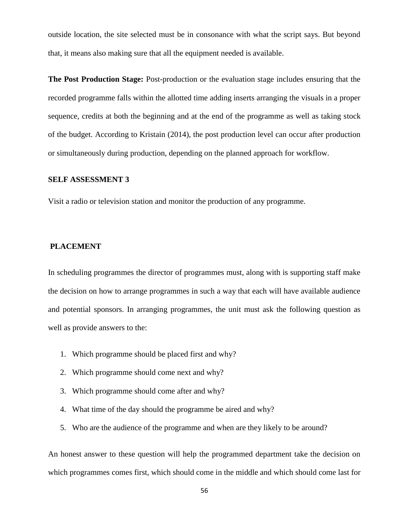outside location, the site selected must be in consonance with what the script says. But beyond that, it means also making sure that all the equipment needed is available.

**The Post Production Stage:** Post-production or the evaluation stage includes ensuring that the recorded programme falls within the allotted time adding inserts arranging the visuals in a proper sequence, credits at both the beginning and at the end of the programme as well as taking stock of the budget. According to Kristain (2014), the post production level can occur after production or simultaneously during production, depending on the planned approach for workflow.

#### **SELF ASSESSMENT 3**

Visit a radio or television station and monitor the production of any programme.

#### **PLACEMENT**

In scheduling programmes the director of programmes must, along with is supporting staff make the decision on how to arrange programmes in such a way that each will have available audience and potential sponsors. In arranging programmes, the unit must ask the following question as well as provide answers to the:

- 1. Which programme should be placed first and why?
- 2. Which programme should come next and why?
- 3. Which programme should come after and why?
- 4. What time of the day should the programme be aired and why?
- 5. Who are the audience of the programme and when are they likely to be around?

An honest answer to these question will help the programmed department take the decision on which programmes comes first, which should come in the middle and which should come last for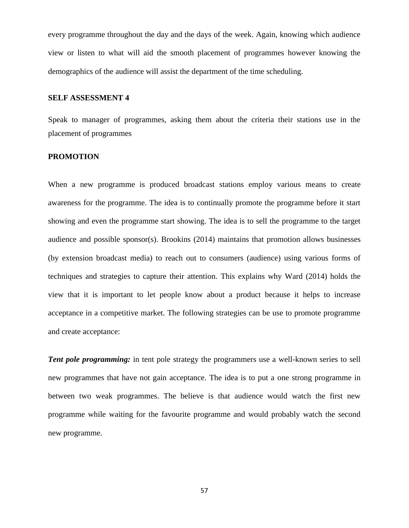every programme throughout the day and the days of the week. Again, knowing which audience view or listen to what will aid the smooth placement of programmes however knowing the demographics of the audience will assist the department of the time scheduling.

#### **SELF ASSESSMENT 4**

Speak to manager of programmes, asking them about the criteria their stations use in the placement of programmes

#### **PROMOTION**

When a new programme is produced broadcast stations employ various means to create awareness for the programme. The idea is to continually promote the programme before it start showing and even the programme start showing. The idea is to sell the programme to the target audience and possible sponsor(s). Brookins (2014) maintains that promotion allows businesses (by extension broadcast media) to reach out to consumers (audience) using various forms of techniques and strategies to capture their attention. This explains why Ward (2014) holds the view that it is important to let people know about a product because it helps to increase acceptance in a competitive market. The following strategies can be use to promote programme and create acceptance:

**Tent pole programming:** in tent pole strategy the programmers use a well-known series to sell new programmes that have not gain acceptance. The idea is to put a one strong programme in between two weak programmes. The believe is that audience would watch the first new programme while waiting for the favourite programme and would probably watch the second new programme.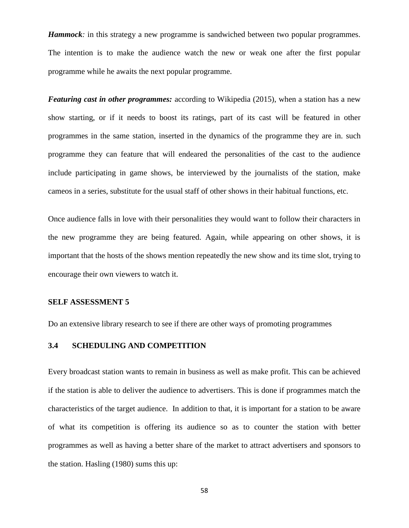*Hammock:* in this strategy a new programme is sandwiched between two popular programmes. The intention is to make the audience watch the new or weak one after the first popular programme while he awaits the next popular programme.

*Featuring cast in other programmes:* according to Wikipedia (2015), when a station has a new show starting, or if it needs to boost its ratings, part of its cast will be featured in other programmes in the same station, inserted in the dynamics of the programme they are in. such programme they can feature that will endeared the personalities of the cast to the audience include participating in game shows, be interviewed by the journalists of the station, make cameos in a series, substitute for the usual staff of other shows in their habitual functions, etc.

Once audience falls in love with their personalities they would want to follow their characters in the new programme they are being featured. Again, while appearing on other shows, it is important that the hosts of the shows mention repeatedly the new show and its time slot, trying to encourage their own viewers to watch it.

#### **SELF ASSESSMENT 5**

Do an extensive library research to see if there are other ways of promoting programmes

### **3.4 SCHEDULING AND COMPETITION**

Every broadcast station wants to remain in business as well as make profit. This can be achieved if the station is able to deliver the audience to advertisers. This is done if programmes match the characteristics of the target audience. In addition to that, it is important for a station to be aware of what its competition is offering its audience so as to counter the station with better programmes as well as having a better share of the market to attract advertisers and sponsors to the station. Hasling (1980) sums this up: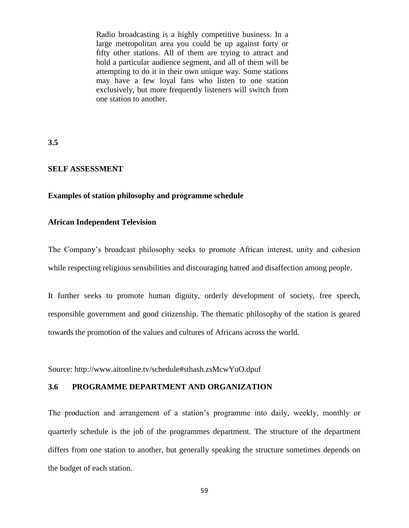Radio broadcasting is a highly competitive business. In a large metropolitan area you could be up against forty or fifty other stations. All of them are trying to attract and hold a particular audience segment, and all of them will be attempting to do it in their own unique way. Some stations may have a few loyal fans who listen to one station exclusively, but more frequently listeners will switch from one station to another.

#### **3.5**

#### **SELF ASSESSMENT**

#### **Examples of station philosophy and programme schedule**

### **African Independent Television**

The Company's broadcast philosophy seeks to promote African interest, unity and cohesion while respecting religious sensibilities and discouraging hatred and disaffection among people.

It further seeks to promote human dignity, orderly development of society, free speech, responsible government and good citizenship. The thematic philosophy of the station is geared towards the promotion of the values and cultures of Africans across the world.

Source: http://www.aitonline.tv/schedule#sthash.zsMcwYuO.dpuf

### **3.6 PROGRAMME DEPARTMENT AND ORGANIZATION**

The production and arrangement of a station's programme into daily, weekly, monthly or quarterly schedule is the job of the programmes department. The structure of the department differs from one station to another, but generally speaking the structure sometimes depends on the budget of each station.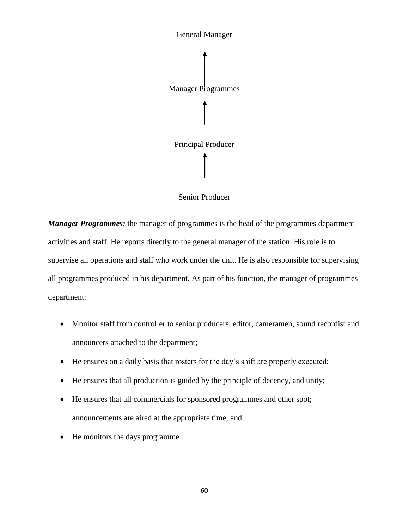

Senior Producer

*Manager Programmes:* the manager of programmes is the head of the programmes department activities and staff. He reports directly to the general manager of the station. His role is to supervise all operations and staff who work under the unit. He is also responsible for supervising all programmes produced in his department. As part of his function, the manager of programmes department:

- Monitor staff from controller to senior producers, editor, cameramen, sound recordist and announcers attached to the department;
- He ensures on a daily basis that rosters for the day's shift are properly executed;
- He ensures that all production is guided by the principle of decency, and unity;
- He ensures that all commercials for sponsored programmes and other spot; announcements are aired at the appropriate time; and
- He monitors the days programme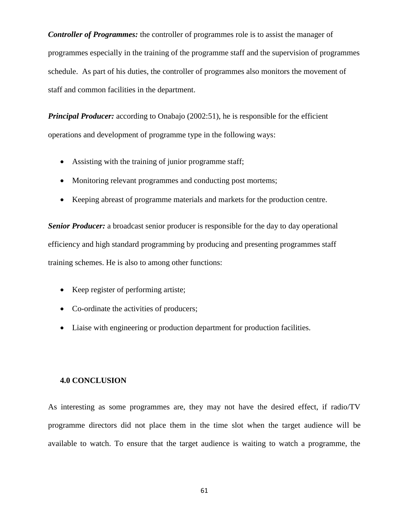*Controller of Programmes:* the controller of programmes role is to assist the manager of programmes especially in the training of the programme staff and the supervision of programmes schedule. As part of his duties, the controller of programmes also monitors the movement of staff and common facilities in the department.

*Principal Producer:* according to Onabajo (2002:51), he is responsible for the efficient operations and development of programme type in the following ways:

- Assisting with the training of junior programme staff;
- Monitoring relevant programmes and conducting post mortems;
- Keeping abreast of programme materials and markets for the production centre.

*Senior Producer:* a broadcast senior producer is responsible for the day to day operational efficiency and high standard programming by producing and presenting programmes staff training schemes. He is also to among other functions:

- Keep register of performing artiste;
- Co-ordinate the activities of producers;
- Liaise with engineering or production department for production facilities.

#### **4.0 CONCLUSION**

As interesting as some programmes are, they may not have the desired effect, if radio/TV programme directors did not place them in the time slot when the target audience will be available to watch. To ensure that the target audience is waiting to watch a programme, the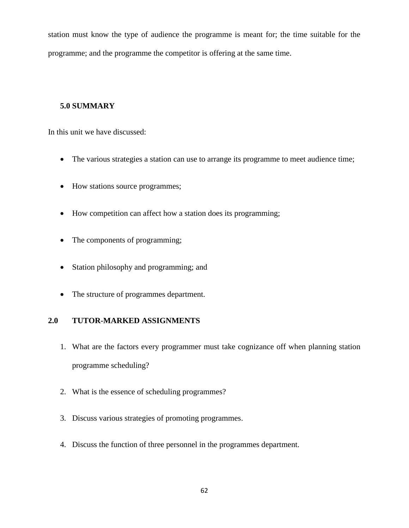station must know the type of audience the programme is meant for; the time suitable for the programme; and the programme the competitor is offering at the same time.

# **5.0 SUMMARY**

In this unit we have discussed:

- The various strategies a station can use to arrange its programme to meet audience time;
- How stations source programmes;
- How competition can affect how a station does its programming;
- The components of programming;
- Station philosophy and programming; and
- The structure of programmes department.

# **2.0 TUTOR-MARKED ASSIGNMENTS**

- 1. What are the factors every programmer must take cognizance off when planning station programme scheduling?
- 2. What is the essence of scheduling programmes?
- 3. Discuss various strategies of promoting programmes.
- 4. Discuss the function of three personnel in the programmes department.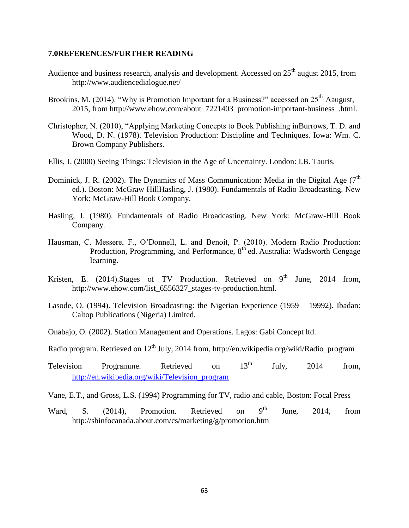### **7.0REFERENCES/FURTHER READING**

- Audience and business research, analysis and development. Accessed on  $25<sup>th</sup>$  august 2015, from <http://www.audiencedialogue.net/>
- Brookins, M. (2014). "Why is Promotion Important for a Business?" accessed on  $25<sup>th</sup>$  Aaugust, 2015, from http://www.ehow.com/about\_7221403\_promotion-important-business\_.html.
- Christopher, N. (2010), "Applying Marketing Concepts to Book Publishing inBurrows, T. D. and Wood, D. N. (1978). Television Production: Discipline and Techniques. Iowa: Wm. C. Brown Company Publishers.
- Ellis, J. (2000) Seeing Things: Television in the Age of Uncertainty. London: I.B. Tauris.
- Dominick, J. R. (2002). The Dynamics of Mass Communication: Media in the Digital Age ( $7<sup>th</sup>$ ed.). Boston: McGraw HillHasling, J. (1980). Fundamentals of Radio Broadcasting. New York: McGraw-Hill Book Company.
- Hasling, J. (1980). Fundamentals of Radio Broadcasting. New York: McGraw-Hill Book Company.
- Hausman, C. Messere, F., O'Donnell, L. and Benoit, P. (2010). Modern Radio Production: Production, Programming, and Performance,  $8<sup>th</sup>$  ed. Australia: Wadsworth Cengage learning.
- Kristen, E. (2014).Stages of TV Production. Retrieved on  $9<sup>th</sup>$  June, 2014 from, [http://www.ehow.com/list\\_6556327\\_stages-tv-production.html.](http://www.ehow.com/list_6556327_stages-tv-production.html)
- Lasode, O. (1994). Television Broadcasting: the Nigerian Experience (1959 19992). Ibadan: Caltop Publications (Nigeria) Limited.
- Onabajo, O. (2002). Station Management and Operations. Lagos: Gabi Concept ltd.
- Radio program. Retrieved on  $12<sup>th</sup>$  July, 2014 from, http://en.wikipedia.org/wiki/Radio\_program
- Television Programme. Retrieved on  $13<sup>th</sup>$  July, 2014 from, [http://en.wikipedia.org/wiki/Television\\_program](http://en.wikipedia.org/wiki/Television_program)
- Vane, E.T., and Gross, L.S. (1994) Programming for TV, radio and cable, Boston: Focal Press
- Ward, S. (2014), Promotion. Retrieved on  $9<sup>th</sup>$  June, 2014, from http://sbinfocanada.about.com/cs/marketing/g/promotion.htm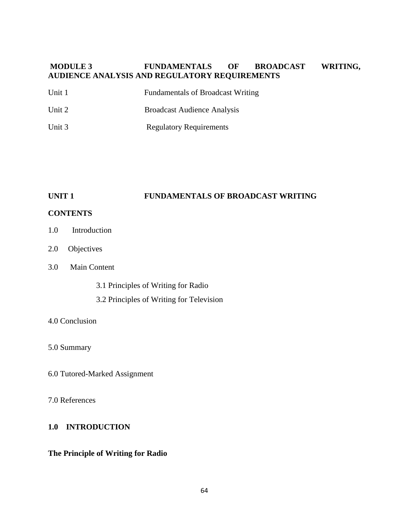# **MODULE 3 FUNDAMENTALS OF BROADCAST WRITING, AUDIENCE ANALYSIS AND REGULATORY REQUIREMENTS**

| Unit 1 | <b>Fundamentals of Broadcast Writing</b> |
|--------|------------------------------------------|
| Unit 2 | <b>Broadcast Audience Analysis</b>       |
| Unit 3 | <b>Regulatory Requirements</b>           |

# **UNIT 1 FUNDAMENTALS OF BROADCAST WRITING**

# **CONTENTS**

- 1.0 Introduction
- 2.0 Objectives
- 3.0 Main Content
	- 3.1 Principles of Writing for Radio
	- 3.2 Principles of Writing for Television

### 4.0 Conclusion

5.0 Summary

6.0 Tutored-Marked Assignment

7.0 References

# **1.0 INTRODUCTION**

# **The Principle of Writing for Radio**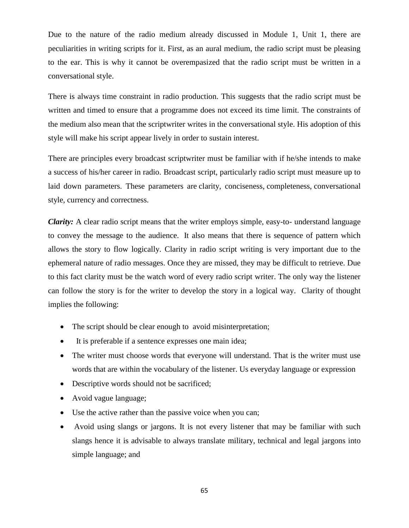Due to the nature of the radio medium already discussed in Module 1, Unit 1, there are peculiarities in writing scripts for it. First, as an aural medium, the radio script must be pleasing to the ear. This is why it cannot be overempasized that the radio script must be written in a conversational style.

There is always time constraint in radio production. This suggests that the radio script must be written and timed to ensure that a programme does not exceed its time limit. The constraints of the medium also mean that the scriptwriter writes in the conversational style. His adoption of this style will make his script appear lively in order to sustain interest.

There are principles every broadcast scriptwriter must be familiar with if he/she intends to make a success of his/her career in radio. Broadcast script, particularly radio script must measure up to laid down parameters. These parameters are clarity, conciseness, completeness, conversational style, currency and correctness.

*Clarity:* A clear radio script means that the writer employs simple, easy-to- understand language to convey the message to the audience. It also means that there is sequence of pattern which allows the story to flow logically. Clarity in radio script writing is very important due to the ephemeral nature of radio messages. Once they are missed, they may be difficult to retrieve. Due to this fact clarity must be the watch word of every radio script writer. The only way the listener can follow the story is for the writer to develop the story in a logical way. Clarity of thought implies the following:

- The script should be clear enough to avoid misinterpretation;
- It is preferable if a sentence expresses one main idea;
- The writer must choose words that everyone will understand. That is the writer must use words that are within the vocabulary of the listener. Us everyday language or expression
- Descriptive words should not be sacrificed;
- Avoid vague language;
- Use the active rather than the passive voice when you can;
- Avoid using slangs or jargons. It is not every listener that may be familiar with such slangs hence it is advisable to always translate military, technical and legal jargons into simple language; and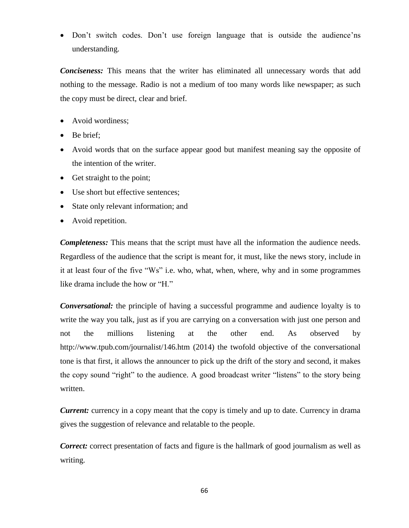• Don't switch codes. Don't use foreign language that is outside the audience'ns understanding.

*Conciseness:* This means that the writer has eliminated all unnecessary words that add nothing to the message. Radio is not a medium of too many words like newspaper; as such the copy must be direct, clear and brief.

- Avoid wordiness;
- Be brief;
- Avoid words that on the surface appear good but manifest meaning say the opposite of the intention of the writer.
- Get straight to the point;
- Use short but effective sentences;
- State only relevant information; and
- Avoid repetition.

*Completeness:* This means that the script must have all the information the audience needs. Regardless of the audience that the script is meant for, it must, like the news story, include in it at least four of the five "Ws" i.e. who, what, when, where, why and in some programmes like drama include the how or "H."

*Conversational:* the principle of having a successful programme and audience loyalty is to write the way you talk, just as if you are carrying on a conversation with just one person and not the millions listening at the other end. As observed by http://www.tpub.com/journalist/146.htm (2014) the twofold objective of the conversational tone is that first, it allows the announcer to pick up the drift of the story and second, it makes the copy sound "right" to the audience. A good broadcast writer "listens" to the story being written.

*Current:* currency in a copy meant that the copy is timely and up to date. Currency in drama gives the suggestion of relevance and relatable to the people.

*Correct:* correct presentation of facts and figure is the hallmark of good journalism as well as writing.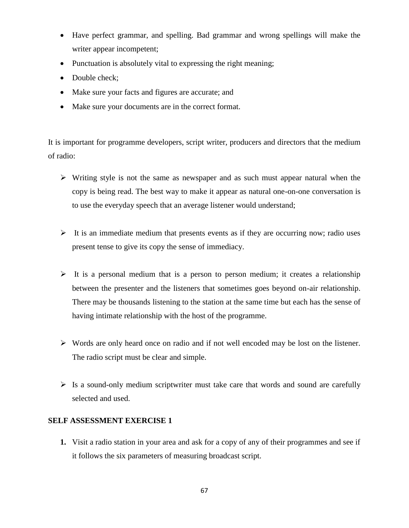- Have perfect grammar, and spelling. Bad grammar and wrong spellings will make the writer appear incompetent;
- Punctuation is absolutely vital to expressing the right meaning;
- Double check:
- Make sure your facts and figures are accurate; and
- Make sure your documents are in the correct format.

It is important for programme developers, script writer, producers and directors that the medium of radio:

- $\triangleright$  Writing style is not the same as newspaper and as such must appear natural when the copy is being read. The best way to make it appear as natural one-on-one conversation is to use the everyday speech that an average listener would understand;
- $\triangleright$  It is an immediate medium that presents events as if they are occurring now; radio uses present tense to give its copy the sense of immediacy.
- $\triangleright$  It is a personal medium that is a person to person medium; it creates a relationship between the presenter and the listeners that sometimes goes beyond on-air relationship. There may be thousands listening to the station at the same time but each has the sense of having intimate relationship with the host of the programme.
- $\triangleright$  Words are only heard once on radio and if not well encoded may be lost on the listener. The radio script must be clear and simple.
- $\triangleright$  Is a sound-only medium scriptwriter must take care that words and sound are carefully selected and used.

### **SELF ASSESSMENT EXERCISE 1**

**1.** Visit a radio station in your area and ask for a copy of any of their programmes and see if it follows the six parameters of measuring broadcast script.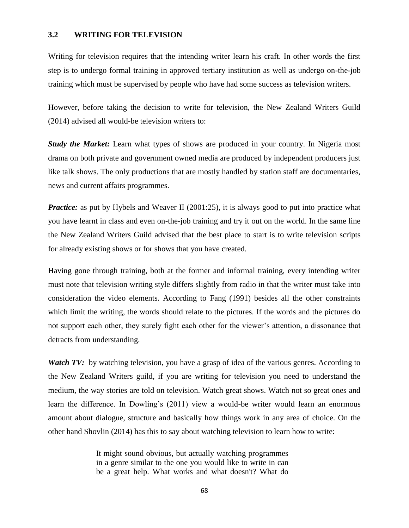### **3.2 WRITING FOR TELEVISION**

Writing for television requires that the intending writer learn his craft. In other words the first step is to undergo formal training in approved tertiary institution as well as undergo on-the-job training which must be supervised by people who have had some success as television writers.

However, before taking the decision to write for television, the New Zealand Writers Guild (2014) advised all would-be television writers to:

*Study the Market:* Learn what types of shows are produced in your country. In Nigeria most drama on both private and government owned media are produced by independent producers just like talk shows. The only productions that are mostly handled by station staff are documentaries, news and current affairs programmes.

*Practice:* as put by Hybels and Weaver II (2001:25), it is always good to put into practice what you have learnt in class and even on-the-job training and try it out on the world. In the same line the New Zealand Writers Guild advised that the best place to start is to write television scripts for already existing shows or for shows that you have created.

Having gone through training, both at the former and informal training, every intending writer must note that television writing style differs slightly from radio in that the writer must take into consideration the video elements. According to Fang (1991) besides all the other constraints which limit the writing, the words should relate to the pictures. If the words and the pictures do not support each other, they surely fight each other for the viewer's attention, a dissonance that detracts from understanding.

*Watch TV:* by watching television, you have a grasp of idea of the various genres. According to the New Zealand Writers guild, if you are writing for television you need to understand the medium, the way stories are told on television. Watch great shows. Watch not so great ones and learn the difference. In Dowling's (2011) view a would-be writer would learn an enormous amount about dialogue, structure and basically how things work in any area of choice. On the other hand Shovlin (2014) has this to say about watching television to learn how to write:

> It might sound obvious, but actually watching programmes in a genre similar to the one you would like to write in can be a great help. What works and what doesn't? What do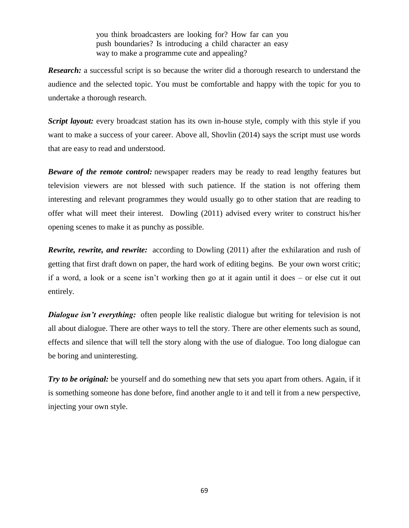you think broadcasters are looking for? How far can you push boundaries? Is introducing a child character an easy way to make a programme cute and appealing?

**Research:** a successful script is so because the writer did a thorough research to understand the audience and the selected topic. You must be comfortable and happy with the topic for you to undertake a thorough research.

*Script layout:* every broadcast station has its own in-house style, comply with this style if you want to make a success of your career. Above all, Shovlin (2014) says the script must use words that are easy to read and understood.

**Beware of the remote control:** newspaper readers may be ready to read lengthy features but television viewers are not blessed with such patience. If the station is not offering them interesting and relevant programmes they would usually go to other station that are reading to offer what will meet their interest. Dowling (2011) advised every writer to construct his/her opening scenes to make it as punchy as possible.

*Rewrite, rewrite, and rewrite:* according to Dowling (2011) after the exhilaration and rush of getting that first draft down on paper, the hard work of editing begins. Be your own worst critic; if a word, a look or a scene isn't working then go at it again until it does – or else cut it out entirely.

*Dialogue isn't everything:* often people like realistic dialogue but writing for television is not all about dialogue. There are other ways to tell the story. There are other elements such as sound, effects and silence that will tell the story along with the use of dialogue. Too long dialogue can be boring and uninteresting.

*Try to be original:* be yourself and do something new that sets you apart from others. Again, if it is something someone has done before, find another angle to it and tell it from a new perspective, injecting your own style.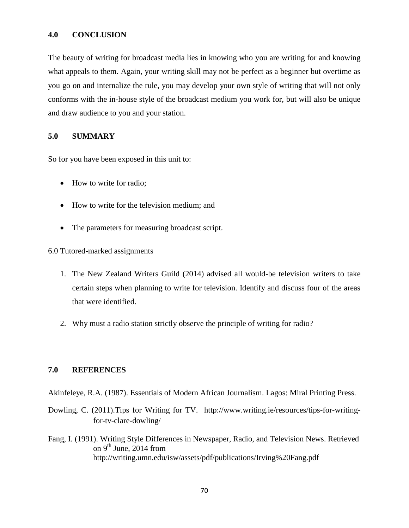### **4.0 CONCLUSION**

The beauty of writing for broadcast media lies in knowing who you are writing for and knowing what appeals to them. Again, your writing skill may not be perfect as a beginner but overtime as you go on and internalize the rule, you may develop your own style of writing that will not only conforms with the in-house style of the broadcast medium you work for, but will also be unique and draw audience to you and your station.

### **5.0 SUMMARY**

So for you have been exposed in this unit to:

- How to write for radio;
- How to write for the television medium; and
- The parameters for measuring broadcast script.

6.0 Tutored-marked assignments

- 1. The New Zealand Writers Guild (2014) advised all would-be television writers to take certain steps when planning to write for television. Identify and discuss four of the areas that were identified.
- 2. Why must a radio station strictly observe the principle of writing for radio?

#### **7.0 REFERENCES**

Akinfeleye, R.A. (1987). Essentials of Modern African Journalism. Lagos: Miral Printing Press.

- Dowling, C. (2011).Tips for Writing for TV. http://www.writing.ie/resources/tips-for-writingfor-tv-clare-dowling/
- Fang, I. (1991). Writing Style Differences in Newspaper, Radio, and Television News. Retrieved on  $9^{th}$  June, 2014 from http://writing.umn.edu/isw/assets/pdf/publications/Irving%20Fang.pdf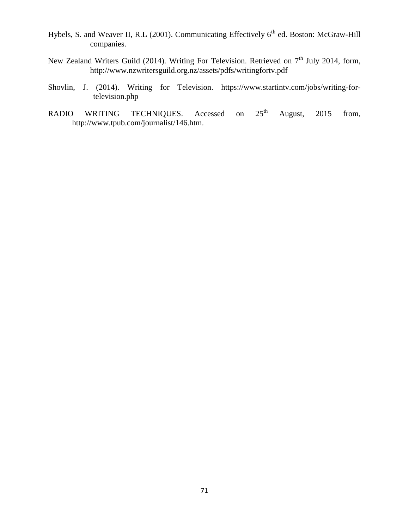- Hybels, S. and Weaver II, R.L (2001). Communicating Effectively  $6<sup>th</sup>$  ed. Boston: McGraw-Hill companies.
- New Zealand Writers Guild (2014). Writing For Television. Retrieved on 7<sup>th</sup> July 2014, form, http://www.nzwritersguild.org.nz/assets/pdfs/writingfortv.pdf
- Shovlin, J. (2014). Writing for Television. https://www.startintv.com/jobs/writing-fortelevision.php
- RADIO WRITING TECHNIQUES. Accessed on  $25<sup>th</sup>$  August, 2015 from, http://www.tpub.com/journalist/146.htm.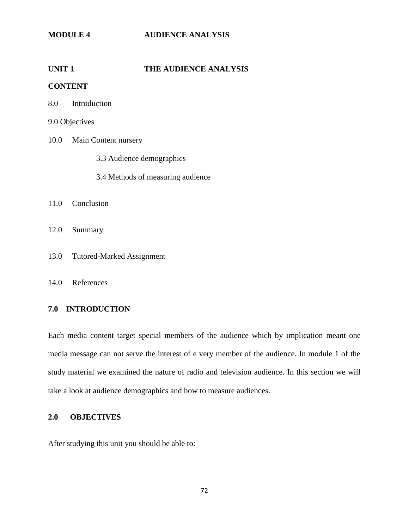**UNIT 1 THE AUDIENCE ANALYSIS**

**CONTENT**

8.0 Introduction

9.0 Objectives

- 10.0 Main Content nursery
	- 3.3 Audience demographics
	- 3.4 Methods of measuring audience
- 11.0 Conclusion
- 12.0 Summary
- 13.0 Tutored-Marked Assignment
- 14.0 References

# **7.0 INTRODUCTION**

Each media content target special members of the audience which by implication meant one media message can not serve the interest of e very member of the audience. In module 1 of the study material we examined the nature of radio and television audience. In this section we will take a look at audience demographics and how to measure audiences.

### **2.0 OBJECTIVES**

After studying this unit you should be able to: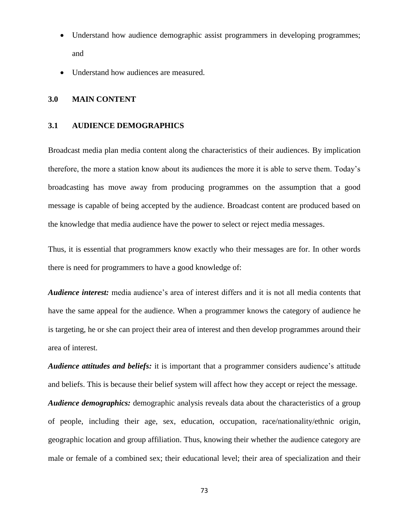- Understand how audience demographic assist programmers in developing programmes; and
- Understand how audiences are measured.

### **3.0 MAIN CONTENT**

#### **3.1 AUDIENCE DEMOGRAPHICS**

Broadcast media plan media content along the characteristics of their audiences. By implication therefore, the more a station know about its audiences the more it is able to serve them. Today's broadcasting has move away from producing programmes on the assumption that a good message is capable of being accepted by the audience. Broadcast content are produced based on the knowledge that media audience have the power to select or reject media messages.

Thus, it is essential that programmers know exactly who their messages are for. In other words there is need for programmers to have a good knowledge of:

*Audience interest:* media audience's area of interest differs and it is not all media contents that have the same appeal for the audience. When a programmer knows the category of audience he is targeting, he or she can project their area of interest and then develop programmes around their area of interest.

*Audience attitudes and beliefs:* it is important that a programmer considers audience's attitude and beliefs. This is because their belief system will affect how they accept or reject the message. *Audience demographics:* demographic analysis reveals data about the characteristics of a group of people, including their age, sex, education, occupation, race/nationality/ethnic origin, geographic location and group affiliation. Thus, knowing their whether the audience category are male or female of a combined sex; their educational level; their area of specialization and their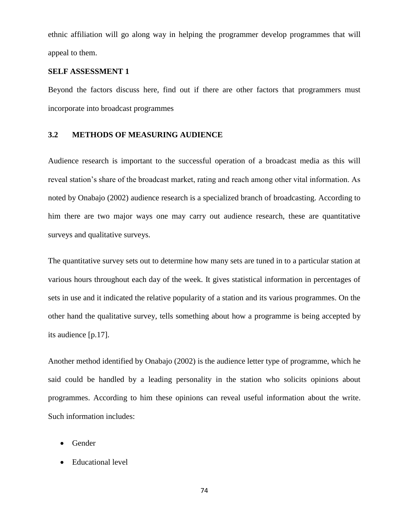ethnic affiliation will go along way in helping the programmer develop programmes that will appeal to them.

#### **SELF ASSESSMENT 1**

Beyond the factors discuss here, find out if there are other factors that programmers must incorporate into broadcast programmes

#### **3.2 METHODS OF MEASURING AUDIENCE**

Audience research is important to the successful operation of a broadcast media as this will reveal station's share of the broadcast market, rating and reach among other vital information. As noted by Onabajo (2002) audience research is a specialized branch of broadcasting. According to him there are two major ways one may carry out audience research, these are quantitative surveys and qualitative surveys.

The quantitative survey sets out to determine how many sets are tuned in to a particular station at various hours throughout each day of the week. It gives statistical information in percentages of sets in use and it indicated the relative popularity of a station and its various programmes. On the other hand the qualitative survey, tells something about how a programme is being accepted by its audience [p.17].

Another method identified by Onabajo (2002) is the audience letter type of programme, which he said could be handled by a leading personality in the station who solicits opinions about programmes. According to him these opinions can reveal useful information about the write. Such information includes:

- Gender
- Educational level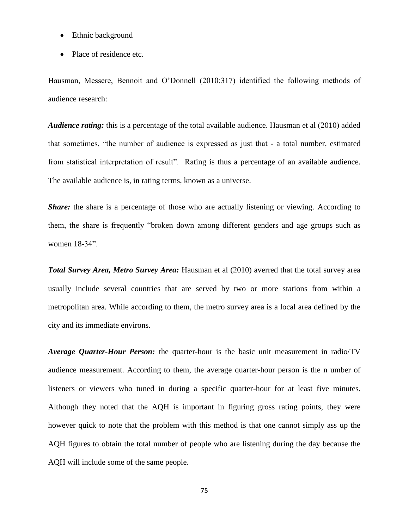- Ethnic background
- Place of residence etc.

Hausman, Messere, Bennoit and O'Donnell (2010:317) identified the following methods of audience research:

*Audience rating:* this is a percentage of the total available audience. Hausman et al (2010) added that sometimes, "the number of audience is expressed as just that - a total number, estimated from statistical interpretation of result". Rating is thus a percentage of an available audience. The available audience is, in rating terms, known as a universe.

*Share:* the share is a percentage of those who are actually listening or viewing. According to them, the share is frequently "broken down among different genders and age groups such as women 18-34".

*Total Survey Area, Metro Survey Area:* Hausman et al (2010) averred that the total survey area usually include several countries that are served by two or more stations from within a metropolitan area. While according to them, the metro survey area is a local area defined by the city and its immediate environs.

*Average Quarter-Hour Person:* the quarter-hour is the basic unit measurement in radio/TV audience measurement. According to them, the average quarter-hour person is the n umber of listeners or viewers who tuned in during a specific quarter-hour for at least five minutes. Although they noted that the AQH is important in figuring gross rating points, they were however quick to note that the problem with this method is that one cannot simply ass up the AQH figures to obtain the total number of people who are listening during the day because the AQH will include some of the same people.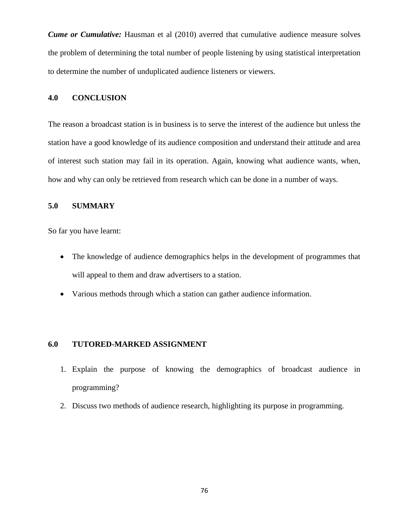*Cume or Cumulative:* Hausman et al (2010) averred that cumulative audience measure solves the problem of determining the total number of people listening by using statistical interpretation to determine the number of unduplicated audience listeners or viewers.

### **4.0 CONCLUSION**

The reason a broadcast station is in business is to serve the interest of the audience but unless the station have a good knowledge of its audience composition and understand their attitude and area of interest such station may fail in its operation. Again, knowing what audience wants, when, how and why can only be retrieved from research which can be done in a number of ways.

# **5.0 SUMMARY**

So far you have learnt:

- The knowledge of audience demographics helps in the development of programmes that will appeal to them and draw advertisers to a station.
- Various methods through which a station can gather audience information.

## **6.0 TUTORED-MARKED ASSIGNMENT**

- 1. Explain the purpose of knowing the demographics of broadcast audience in programming?
- 2. Discuss two methods of audience research, highlighting its purpose in programming.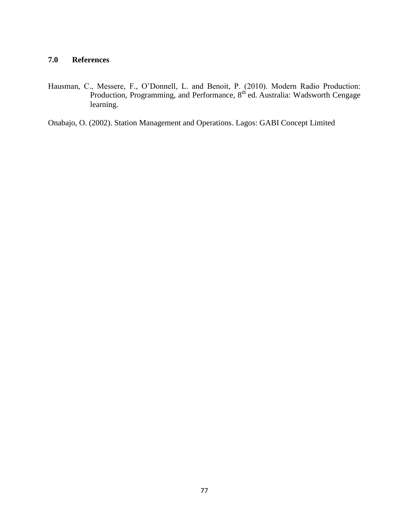# **7.0 References**

Hausman, C., Messere, F., O'Donnell, L. and Benoit, P. (2010). Modern Radio Production: Production, Programming, and Performance,  $8<sup>th</sup>$  ed. Australia: Wadsworth Cengage learning.

Onabajo, O. (2002). Station Management and Operations. Lagos: GABI Concept Limited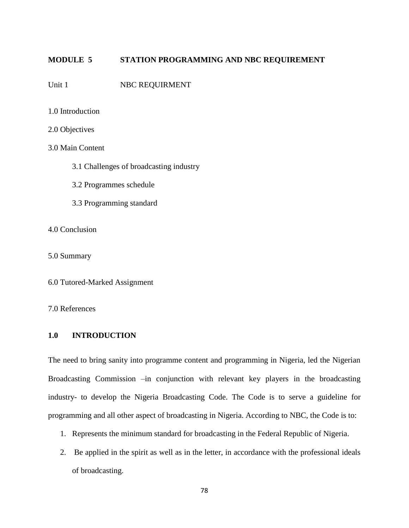## **MODULE 5 STATION PROGRAMMING AND NBC REQUIREMENT**

Unit 1 NBC REQUIRMENT

- 1.0 Introduction
- 2.0 Objectives

# 3.0 Main Content

- 3.1 Challenges of broadcasting industry
- 3.2 Programmes schedule
- 3.3 Programming standard

4.0 Conclusion

5.0 Summary

6.0 Tutored-Marked Assignment

7.0 References

# **1.0 INTRODUCTION**

The need to bring sanity into programme content and programming in Nigeria, led the Nigerian Broadcasting Commission –in conjunction with relevant key players in the broadcasting industry- to develop the Nigeria Broadcasting Code. The Code is to serve a guideline for programming and all other aspect of broadcasting in Nigeria. According to NBC, the Code is to:

- 1. Represents the minimum standard for broadcasting in the Federal Republic of Nigeria.
- 2. Be applied in the spirit as well as in the letter, in accordance with the professional ideals of broadcasting.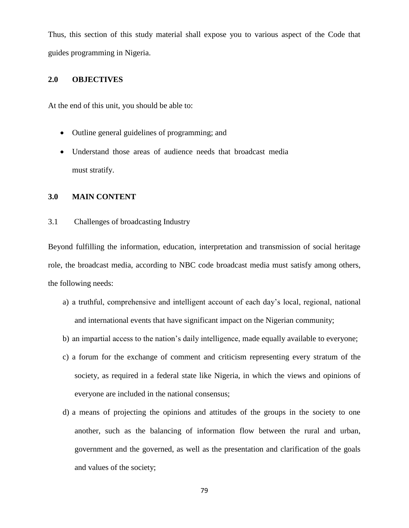Thus, this section of this study material shall expose you to various aspect of the Code that guides programming in Nigeria.

#### **2.0 OBJECTIVES**

At the end of this unit, you should be able to:

- Outline general guidelines of programming; and
- Understand those areas of audience needs that broadcast media must stratify.

#### **3.0 MAIN CONTENT**

#### 3.1 Challenges of broadcasting Industry

Beyond fulfilling the information, education, interpretation and transmission of social heritage role, the broadcast media, according to NBC code broadcast media must satisfy among others, the following needs:

- a) a truthful, comprehensive and intelligent account of each day's local, regional, national and international events that have significant impact on the Nigerian community;
- b) an impartial access to the nation's daily intelligence, made equally available to everyone;
- c) a forum for the exchange of comment and criticism representing every stratum of the society, as required in a federal state like Nigeria, in which the views and opinions of everyone are included in the national consensus;
- d) a means of projecting the opinions and attitudes of the groups in the society to one another, such as the balancing of information flow between the rural and urban, government and the governed, as well as the presentation and clarification of the goals and values of the society;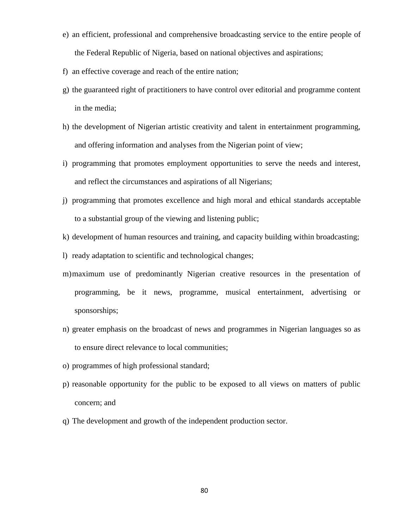- e) an efficient, professional and comprehensive broadcasting service to the entire people of the Federal Republic of Nigeria, based on national objectives and aspirations;
- f) an effective coverage and reach of the entire nation;
- g) the guaranteed right of practitioners to have control over editorial and programme content in the media;
- h) the development of Nigerian artistic creativity and talent in entertainment programming, and offering information and analyses from the Nigerian point of view;
- i) programming that promotes employment opportunities to serve the needs and interest, and reflect the circumstances and aspirations of all Nigerians;
- j) programming that promotes excellence and high moral and ethical standards acceptable to a substantial group of the viewing and listening public;
- k) development of human resources and training, and capacity building within broadcasting;
- l) ready adaptation to scientific and technological changes;
- m)maximum use of predominantly Nigerian creative resources in the presentation of programming, be it news, programme, musical entertainment, advertising or sponsorships;
- n) greater emphasis on the broadcast of news and programmes in Nigerian languages so as to ensure direct relevance to local communities;
- o) programmes of high professional standard;
- p) reasonable opportunity for the public to be exposed to all views on matters of public concern; and
- q) The development and growth of the independent production sector.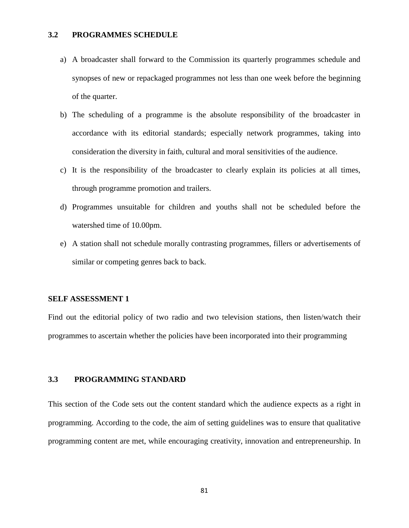### **3.2 PROGRAMMES SCHEDULE**

- a) A broadcaster shall forward to the Commission its quarterly programmes schedule and synopses of new or repackaged programmes not less than one week before the beginning of the quarter.
- b) The scheduling of a programme is the absolute responsibility of the broadcaster in accordance with its editorial standards; especially network programmes, taking into consideration the diversity in faith, cultural and moral sensitivities of the audience.
- c) It is the responsibility of the broadcaster to clearly explain its policies at all times, through programme promotion and trailers.
- d) Programmes unsuitable for children and youths shall not be scheduled before the watershed time of 10.00pm.
- e) A station shall not schedule morally contrasting programmes, fillers or advertisements of similar or competing genres back to back.

#### **SELF ASSESSMENT 1**

Find out the editorial policy of two radio and two television stations, then listen/watch their programmes to ascertain whether the policies have been incorporated into their programming

## **3.3 PROGRAMMING STANDARD**

This section of the Code sets out the content standard which the audience expects as a right in programming. According to the code, the aim of setting guidelines was to ensure that qualitative programming content are met, while encouraging creativity, innovation and entrepreneurship. In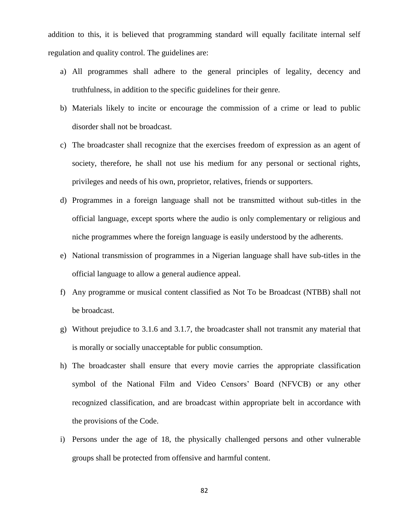addition to this, it is believed that programming standard will equally facilitate internal self regulation and quality control. The guidelines are:

- a) All programmes shall adhere to the general principles of legality, decency and truthfulness, in addition to the specific guidelines for their genre.
- b) Materials likely to incite or encourage the commission of a crime or lead to public disorder shall not be broadcast.
- c) The broadcaster shall recognize that the exercises freedom of expression as an agent of society, therefore, he shall not use his medium for any personal or sectional rights, privileges and needs of his own, proprietor, relatives, friends or supporters.
- d) Programmes in a foreign language shall not be transmitted without sub-titles in the official language, except sports where the audio is only complementary or religious and niche programmes where the foreign language is easily understood by the adherents.
- e) National transmission of programmes in a Nigerian language shall have sub-titles in the official language to allow a general audience appeal.
- f) Any programme or musical content classified as Not To be Broadcast (NTBB) shall not be broadcast.
- g) Without prejudice to 3.1.6 and 3.1.7, the broadcaster shall not transmit any material that is morally or socially unacceptable for public consumption.
- h) The broadcaster shall ensure that every movie carries the appropriate classification symbol of the National Film and Video Censors' Board (NFVCB) or any other recognized classification, and are broadcast within appropriate belt in accordance with the provisions of the Code.
- i) Persons under the age of 18, the physically challenged persons and other vulnerable groups shall be protected from offensive and harmful content.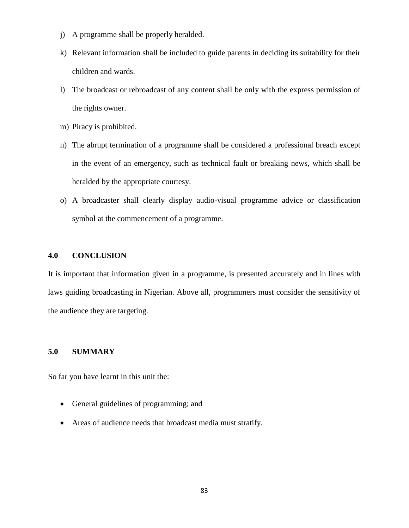- j) A programme shall be properly heralded.
- k) Relevant information shall be included to guide parents in deciding its suitability for their children and wards.
- l) The broadcast or rebroadcast of any content shall be only with the express permission of the rights owner.
- m) Piracy is prohibited.
- n) The abrupt termination of a programme shall be considered a professional breach except in the event of an emergency, such as technical fault or breaking news, which shall be heralded by the appropriate courtesy.
- o) A broadcaster shall clearly display audio-visual programme advice or classification symbol at the commencement of a programme.

### **4.0 CONCLUSION**

It is important that information given in a programme, is presented accurately and in lines with laws guiding broadcasting in Nigerian. Above all, programmers must consider the sensitivity of the audience they are targeting.

# **5.0 SUMMARY**

So far you have learnt in this unit the:

- General guidelines of programming; and
- Areas of audience needs that broadcast media must stratify.